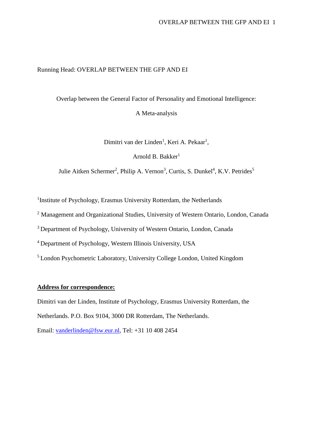## Running Head: OVERLAP BETWEEN THE GFP AND EI

Overlap between the General Factor of Personality and Emotional Intelligence:

A Meta-analysis

Dimitri van der Linden<sup>1</sup>, Keri A. Pekaar<sup>1</sup>,

Arnold B. Bakker $<sup>1</sup>$ </sup>

Julie Aitken Schermer<sup>2</sup>, Philip A. Vernon<sup>3</sup>, Curtis, S. Dunkel<sup>4</sup>, K.V. Petrides<sup>5</sup>

<sup>1</sup>Institute of Psychology, Erasmus University Rotterdam, the Netherlands

<sup>2</sup> Management and Organizational Studies, University of Western Ontario, London, Canada

<sup>3</sup> Department of Psychology, University of Western Ontario, London, Canada

<sup>4</sup>Department of Psychology, Western Illinois University, USA

<sup>5</sup>London Psychometric Laboratory, University College London, United Kingdom

## **Address for correspondence:**

Dimitri van der Linden, Institute of Psychology, Erasmus University Rotterdam, the

Netherlands. P.O. Box 9104, 3000 DR Rotterdam, The Netherlands.

Email: [vanderlinden@fsw.eur.nl,](mailto:vanderlinden@fsw.eur.nl) Tel: +31 10 408 2454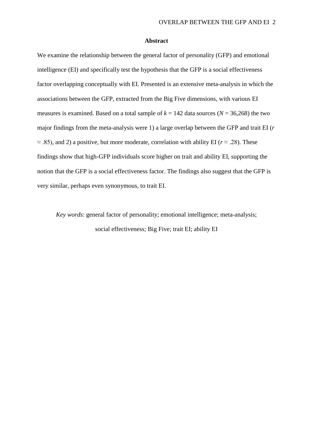#### **Abstract**

We examine the relationship between the general factor of personality (GFP) and emotional intelligence (EI) and specifically test the hypothesis that the GFP is a social effectiveness factor overlapping conceptually with EI. Presented is an extensive meta-analysis in which the associations between the GFP, extracted from the Big Five dimensions, with various EI measures is examined. Based on a total sample of  $k = 142$  data sources ( $N = 36,268$ ) the two major findings from the meta-analysis were 1) a large overlap between the GFP and trait EI (*r* ≈ .85), and 2) a positive, but more moderate, correlation with ability EI (*r* ≈ .28). These findings show that high-GFP individuals score higher on trait and ability EI, supporting the notion that the GFP is a social effectiveness factor. The findings also suggest that the GFP is very similar, perhaps even synonymous, to trait EI.

*Key words*: general factor of personality; emotional intelligence; meta-analysis; social effectiveness; Big Five; trait EI; ability EI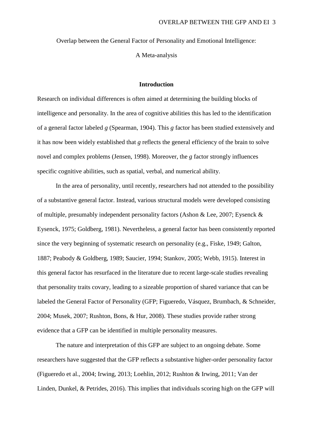Overlap between the General Factor of Personality and Emotional Intelligence:

A Meta-analysis

## **Introduction**

Research on individual differences is often aimed at determining the building blocks of intelligence and personality. In the area of cognitive abilities this has led to the identification of a general factor labeled *g* (Spearman, 1904). This *g* factor has been studied extensively and it has now been widely established that *g* reflects the general efficiency of the brain to solve novel and complex problems (Jensen, 1998). Moreover, the *g* factor strongly influences specific cognitive abilities, such as spatial, verbal, and numerical ability.

In the area of personality, until recently, researchers had not attended to the possibility of a substantive general factor. Instead, various structural models were developed consisting of multiple, presumably independent personality factors (Ashon & Lee, 2007; Eysenck & Eysenck, 1975; Goldberg, 1981). Nevertheless, a general factor has been consistently reported since the very beginning of systematic research on personality (e.g., Fiske, 1949; Galton, 1887; Peabody & Goldberg, 1989; Saucier, 1994; Stankov, 2005; Webb, 1915). Interest in this general factor has resurfaced in the literature due to recent large-scale studies revealing that personality traits covary, leading to a sizeable proportion of shared variance that can be labeled the General Factor of Personality (GFP; Figueredo, Vásquez, Brumbach, & Schneider, 2004; Musek, 2007; Rushton, Bons, & Hur, 2008). These studies provide rather strong evidence that a GFP can be identified in multiple personality measures.

The nature and interpretation of this GFP are subject to an ongoing debate. Some researchers have suggested that the GFP reflects a substantive higher-order personality factor (Figueredo et al., 2004; Irwing, 2013; Loehlin, 2012; Rushton & Irwing, 2011; Van der Linden, Dunkel, & Petrides, 2016). This implies that individuals scoring high on the GFP will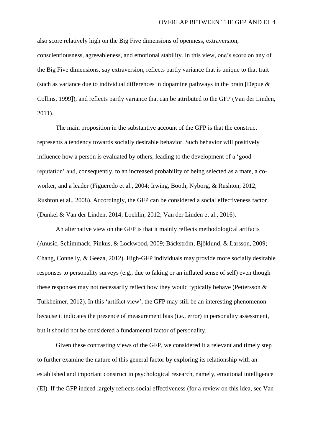also score relatively high on the Big Five dimensions of openness, extraversion, conscientiousness, agreeableness, and emotional stability. In this view, one's score on any of the Big Five dimensions, say extraversion, reflects partly variance that is unique to that trait (such as variance due to individual differences in dopamine pathways in the brain [Depue & Collins, 1999]), and reflects partly variance that can be attributed to the GFP (Van der Linden, 2011).

The main proposition in the substantive account of the GFP is that the construct represents a tendency towards socially desirable behavior. Such behavior will positively influence how a person is evaluated by others, leading to the development of a 'good reputation' and, consequently, to an increased probability of being selected as a mate, a coworker, and a leader (Figueredo et al., 2004; Irwing, Booth, Nyborg, & Rushton, 2012; Rushton et al., 2008). Accordingly, the GFP can be considered a social effectiveness factor (Dunkel & Van der Linden, 2014; Loehlin, 2012; Van der Linden et al., 2016).

An alternative view on the GFP is that it mainly reflects methodological artifacts (Anusic, Schimmack, Pinkus, & Lockwood, 2009; Bäckström, Bjöklund, & Larsson, 2009; Chang, Connelly, & Geeza, 2012). High-GFP individuals may provide more socially desirable responses to personality surveys (e.g., due to faking or an inflated sense of self) even though these responses may not necessarily reflect how they would typically behave (Pettersson & Turkheimer, 2012). In this 'artifact view', the GFP may still be an interesting phenomenon because it indicates the presence of measurement bias (i.e., error) in personality assessment, but it should not be considered a fundamental factor of personality.

Given these contrasting views of the GFP, we considered it a relevant and timely step to further examine the nature of this general factor by exploring its relationship with an established and important construct in psychological research, namely, emotional intelligence (EI). If the GFP indeed largely reflects social effectiveness (for a review on this idea, see Van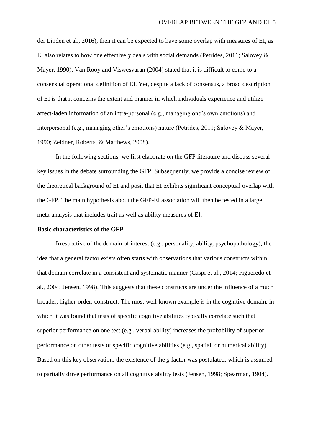der Linden et al., 2016), then it can be expected to have some overlap with measures of EI, as EI also relates to how one effectively deals with social demands (Petrides, 2011; Salovey & Mayer, 1990). Van Rooy and Viswesvaran (2004) stated that it is difficult to come to a consensual operational definition of EI. Yet, despite a lack of consensus, a broad description of EI is that it concerns the extent and manner in which individuals experience and utilize affect-laden information of an intra-personal (e.g., managing one's own emotions) and interpersonal (e.g., managing other's emotions) nature (Petrides, 2011; Salovey & Mayer, 1990; Zeidner, Roberts, & Matthews, 2008).

In the following sections, we first elaborate on the GFP literature and discuss several key issues in the debate surrounding the GFP. Subsequently, we provide a concise review of the theoretical background of EI and posit that EI exhibits significant conceptual overlap with the GFP. The main hypothesis about the GFP-EI association will then be tested in a large meta-analysis that includes trait as well as ability measures of EI.

### **Basic characteristics of the GFP**

Irrespective of the domain of interest (e.g., personality, ability, psychopathology), the idea that a general factor exists often starts with observations that various constructs within that domain correlate in a consistent and systematic manner (Caspi et al., 2014; Figueredo et al., 2004; Jensen, 1998). This suggests that these constructs are under the influence of a much broader, higher-order, construct. The most well-known example is in the cognitive domain, in which it was found that tests of specific cognitive abilities typically correlate such that superior performance on one test (e.g., verbal ability) increases the probability of superior performance on other tests of specific cognitive abilities (e.g., spatial, or numerical ability). Based on this key observation, the existence of the *g* factor was postulated, which is assumed to partially drive performance on all cognitive ability tests (Jensen, 1998; Spearman, 1904).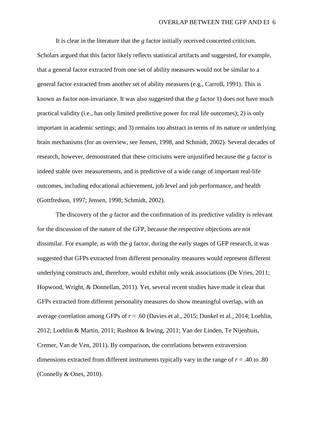It is clear in the literature that the *g* factor initially received concerted criticism. Scholars argued that this factor likely reflects statistical artifacts and suggested, for example, that a general factor extracted from one set of ability measures would not be similar to a general factor extracted from another set of ability measures (e.g., Carroll, 1991). This is known as factor non-invariance. It was also suggested that the *g* factor 1) does not have much practical validity (i.e., has only limited predictive power for real life outcomes); 2) is only important in academic settings; and 3) remains too abstract in terms of its nature or underlying brain mechanisms (for an overview, see Jensen, 1998, and Schmidt, 2002). Several decades of research, however, demonstrated that these criticisms were unjustified because the *g* factor is indeed stable over measurements, and is predictive of a wide range of important real-life outcomes, including educational achievement, job level and job performance, and health (Gottfredson, 1997; Jensen, 1998; Schmidt, 2002).

The discovery of the *g* factor and the confirmation of its predictive validity is relevant for the discussion of the nature of the GFP, because the respective objections are not dissimilar. For example, as with the *g* factor, during the early stages of GFP research, it was suggested that GFPs extracted from different personality measures would represent different underlying constructs and, therefore, would exhibit only weak associations (De Vries, 2011; Hopwood, Wright, & Donnellan, 2011). Yet, several recent studies have made it clear that GFPs extracted from different personality measures do show meaningful overlap, with an average correlation among GFPs of *r* ≈ .60 (Davies et al., 2015; Dunkel et al., 2014; Loehlin, 2012; Loehlin & Martin, 2011; Rushton & Irwing, 2011; Van der Linden, Te Nijenhuis, Cremer, Van de Ven, 2011). By comparison, the correlations between extraversion dimensions extracted from different instruments typically vary in the range of  $r = .40$  to  $.80$ (Connelly & Ones, 2010).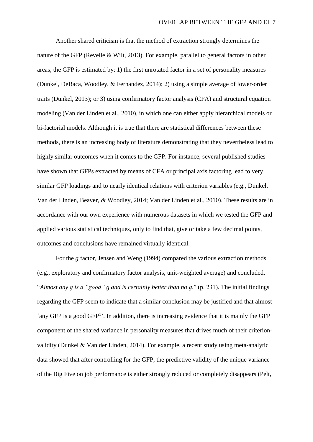Another shared criticism is that the method of extraction strongly determines the nature of the GFP (Revelle & Wilt, 2013). For example, parallel to general factors in other areas, the GFP is estimated by: 1) the first unrotated factor in a set of personality measures (Dunkel, DeBaca, Woodley, & Fernandez, 2014); 2) using a simple average of lower-order traits (Dunkel, 2013); or 3) using confirmatory factor analysis (CFA) and structural equation modeling (Van der Linden et al., 2010), in which one can either apply hierarchical models or bi-factorial models. Although it is true that there are statistical differences between these methods, there is an increasing body of literature demonstrating that they nevertheless lead to highly similar outcomes when it comes to the GFP. For instance, several published studies have shown that GFPs extracted by means of CFA or principal axis factoring lead to very similar GFP loadings and to nearly identical relations with criterion variables (e.g., Dunkel, Van der Linden, Beaver, & Woodley, 2014; Van der Linden et al., 2010). These results are in accordance with our own experience with numerous datasets in which we tested the GFP and applied various statistical techniques, only to find that, give or take a few decimal points, outcomes and conclusions have remained virtually identical.

For the *g* factor, Jensen and Weng (1994) compared the various extraction methods (e.g., exploratory and confirmatory factor analysis, unit-weighted average) and concluded, "*Almost any g is a "good" g and is certainly better than no g*." (p. 231). The initial findings regarding the GFP seem to indicate that a similar conclusion may be justified and that almost 'any GFP is a good GFP<sup>1</sup>'. In addition, there is increasing evidence that it is mainly the GFP component of the shared variance in personality measures that drives much of their criterionvalidity (Dunkel & Van der Linden, 2014). For example, a recent study using meta-analytic data showed that after controlling for the GFP, the predictive validity of the unique variance of the Big Five on job performance is either strongly reduced or completely disappears (Pelt,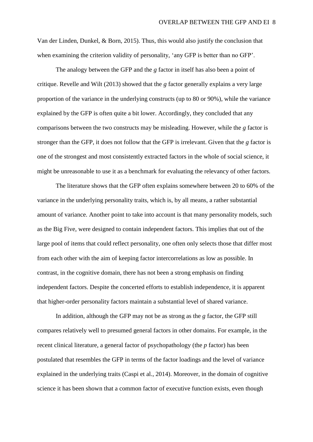Van der Linden, Dunkel, & Born, 2015). Thus, this would also justify the conclusion that when examining the criterion validity of personality, 'any GFP is better than no GFP'.

The analogy between the GFP and the *g* factor in itself has also been a point of critique. Revelle and Wilt (2013) showed that the *g* factor generally explains a very large proportion of the variance in the underlying constructs (up to 80 or 90%), while the variance explained by the GFP is often quite a bit lower. Accordingly, they concluded that any comparisons between the two constructs may be misleading. However, while the *g* factor is stronger than the GFP, it does not follow that the GFP is irrelevant. Given that the *g* factor is one of the strongest and most consistently extracted factors in the whole of social science, it might be unreasonable to use it as a benchmark for evaluating the relevancy of other factors.

The literature shows that the GFP often explains somewhere between 20 to 60% of the variance in the underlying personality traits, which is, by all means, a rather substantial amount of variance. Another point to take into account is that many personality models, such as the Big Five, were designed to contain independent factors. This implies that out of the large pool of items that could reflect personality, one often only selects those that differ most from each other with the aim of keeping factor intercorrelations as low as possible. In contrast, in the cognitive domain, there has not been a strong emphasis on finding independent factors. Despite the concerted efforts to establish independence, it is apparent that higher-order personality factors maintain a substantial level of shared variance.

In addition, although the GFP may not be as strong as the *g* factor, the GFP still compares relatively well to presumed general factors in other domains. For example, in the recent clinical literature, a general factor of psychopathology (the *p* factor) has been postulated that resembles the GFP in terms of the factor loadings and the level of variance explained in the underlying traits (Caspi et al., 2014). Moreover, in the domain of cognitive science it has been shown that a common factor of executive function exists, even though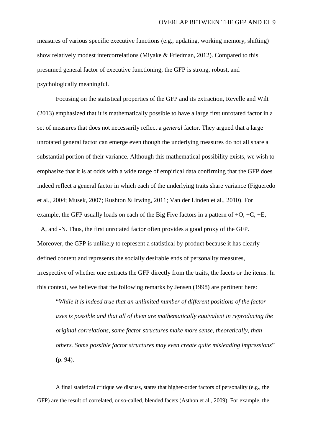measures of various specific executive functions (e.g., updating, working memory, shifting) show relatively modest intercorrelations (Miyake & Friedman, 2012). Compared to this presumed general factor of executive functioning, the GFP is strong, robust, and psychologically meaningful.

Focusing on the statistical properties of the GFP and its extraction, Revelle and Wilt (2013) emphasized that it is mathematically possible to have a large first unrotated factor in a set of measures that does not necessarily reflect a *general* factor. They argued that a large unrotated general factor can emerge even though the underlying measures do not all share a substantial portion of their variance. Although this mathematical possibility exists, we wish to emphasize that it is at odds with a wide range of empirical data confirming that the GFP does indeed reflect a general factor in which each of the underlying traits share variance (Figueredo et al., 2004; Musek, 2007; Rushton & Irwing, 2011; Van der Linden et al., 2010). For example, the GFP usually loads on each of the Big Five factors in a pattern of  $+O$ ,  $+C$ ,  $+E$ , +A, and -N. Thus, the first unrotated factor often provides a good proxy of the GFP. Moreover, the GFP is unlikely to represent a statistical by-product because it has clearly defined content and represents the socially desirable ends of personality measures, irrespective of whether one extracts the GFP directly from the traits, the facets or the items. In this context, we believe that the following remarks by Jensen (1998) are pertinent here:

"*While it is indeed true that an unlimited number of different positions of the factor axes is possible and that all of them are mathematically equivalent in reproducing the original correlations, some factor structures make more sense, theoretically, than others. Some possible factor structures may even create quite misleading impressions*" (p. 94).

A final statistical critique we discuss, states that higher-order factors of personality (e.g., the GFP) are the result of correlated, or so-called, blended facets (Asthon et al., 2009). For example, the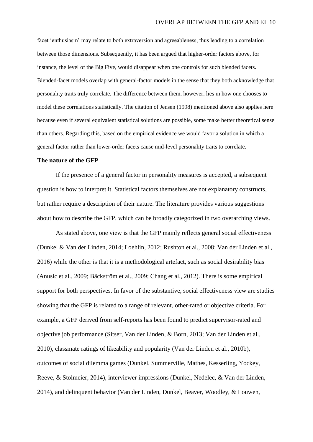facet 'enthusiasm' may relate to both extraversion and agreeableness, thus leading to a correlation between those dimensions. Subsequently, it has been argued that higher-order factors above, for instance, the level of the Big Five, would disappear when one controls for such blended facets. Blended-facet models overlap with general-factor models in the sense that they both acknowledge that personality traits truly correlate. The difference between them, however, lies in how one chooses to model these correlations statistically. The citation of Jensen (1998) mentioned above also applies here because even if several equivalent statistical solutions are possible, some make better theoretical sense than others. Regarding this, based on the empirical evidence we would favor a solution in which a general factor rather than lower-order facets cause mid-level personality traits to correlate.

#### **The nature of the GFP**

If the presence of a general factor in personality measures is accepted, a subsequent question is how to interpret it. Statistical factors themselves are not explanatory constructs, but rather require a description of their nature. The literature provides various suggestions about how to describe the GFP, which can be broadly categorized in two overarching views.

As stated above, one view is that the GFP mainly reflects general social effectiveness (Dunkel & Van der Linden, 2014; Loehlin, 2012; Rushton et al., 2008; Van der Linden et al., 2016) while the other is that it is a methodological artefact, such as social desirability bias (Anusic et al., 2009; Bäckström et al., 2009; Chang et al., 2012). There is some empirical support for both perspectives. In favor of the substantive, social effectiveness view are studies showing that the GFP is related to a range of relevant, other-rated or objective criteria. For example, a GFP derived from self-reports has been found to predict supervisor-rated and objective job performance (Sitser, Van der Linden, & Born, 2013; Van der Linden et al., 2010), classmate ratings of likeability and popularity (Van der Linden et al., 2010b), outcomes of social dilemma games (Dunkel, Summerville, Mathes, Kesserling, Yockey, Reeve, & Stolmeier, 2014), interviewer impressions (Dunkel, Nedelec, & Van der Linden, 2014), and delinquent behavior (Van der Linden, Dunkel, Beaver, Woodley, & Louwen,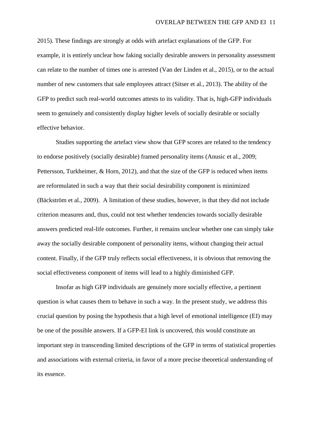2015). These findings are strongly at odds with artefact explanations of the GFP. For example, it is entirely unclear how faking socially desirable answers in personality assessment can relate to the number of times one is arrested (Van der Linden et al., 2015), or to the actual number of new customers that sale employees attract (Sitser et al., 2013). The ability of the GFP to predict such real-world outcomes attests to its validity. That is, high-GFP individuals seem to genuinely and consistently display higher levels of socially desirable or socially effective behavior.

Studies supporting the artefact view show that GFP scores are related to the tendency to endorse positively (socially desirable) framed personality items (Anusic et al., 2009; Pettersson, Turkheimer, & Horn, 2012), and that the size of the GFP is reduced when items are reformulated in such a way that their social desirability component is minimized (Bäckström et al., 2009). A limitation of these studies, however, is that they did not include criterion measures and, thus, could not test whether tendencies towards socially desirable answers predicted real-life outcomes. Further, it remains unclear whether one can simply take away the socially desirable component of personality items, without changing their actual content. Finally, if the GFP truly reflects social effectiveness, it is obvious that removing the social effectiveness component of items will lead to a highly diminished GFP.

Insofar as high GFP individuals are genuinely more socially effective, a pertinent question is what causes them to behave in such a way. In the present study, we address this crucial question by posing the hypothesis that a high level of emotional intelligence (EI) may be one of the possible answers. If a GFP-EI link is uncovered, this would constitute an important step in transcending limited descriptions of the GFP in terms of statistical properties and associations with external criteria, in favor of a more precise theoretical understanding of its essence.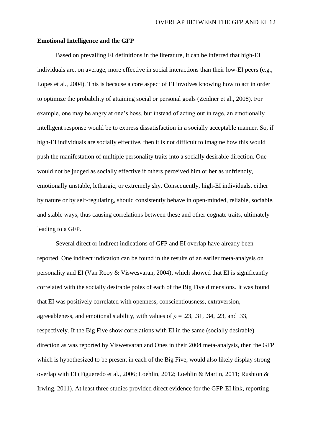### **Emotional Intelligence and the GFP**

Based on prevailing EI definitions in the literature, it can be inferred that high-EI individuals are, on average, more effective in social interactions than their low-EI peers (e.g., Lopes et al., 2004). This is because a core aspect of EI involves knowing how to act in order to optimize the probability of attaining social or personal goals (Zeidner et al., 2008). For example, one may be angry at one's boss, but instead of acting out in rage, an emotionally intelligent response would be to express dissatisfaction in a socially acceptable manner. So, if high-EI individuals are socially effective, then it is not difficult to imagine how this would push the manifestation of multiple personality traits into a socially desirable direction. One would not be judged as socially effective if others perceived him or her as unfriendly, emotionally unstable, lethargic, or extremely shy. Consequently, high-EI individuals, either by nature or by self-regulating, should consistently behave in open-minded, reliable, sociable, and stable ways, thus causing correlations between these and other cognate traits, ultimately leading to a GFP.

Several direct or indirect indications of GFP and EI overlap have already been reported. One indirect indication can be found in the results of an earlier meta-analysis on personality and EI (Van Rooy & Viswesvaran, 2004), which showed that EI is significantly correlated with the socially desirable poles of each of the Big Five dimensions. It was found that EI was positively correlated with openness, conscientiousness, extraversion, agreeableness, and emotional stability, with values of  $\rho = .23, .31, .34, .23,$  and .33, respectively. If the Big Five show correlations with EI in the same (socially desirable) direction as was reported by Viswesvaran and Ones in their 2004 meta-analysis, then the GFP which is hypothesized to be present in each of the Big Five, would also likely display strong overlap with EI (Figueredo et al., 2006; Loehlin, 2012; Loehlin & Martin, 2011; Rushton & Irwing, 2011). At least three studies provided direct evidence for the GFP-EI link, reporting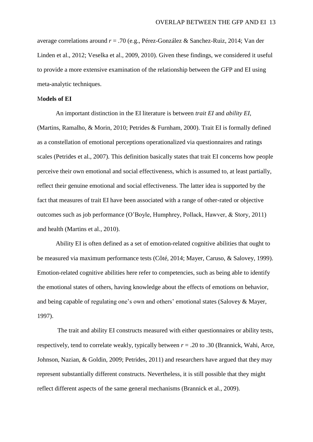average correlations around *r* = .70 (e.g., Pérez-González & Sanchez-Ruiz, 2014; Van der Linden et al., 2012; Veselka et al., 2009, 2010). Given these findings, we considered it useful to provide a more extensive examination of the relationship between the GFP and EI using meta-analytic techniques.

#### M**odels of EI**

An important distinction in the EI literature is between *trait EI* and *ability EI*, (Martins, Ramalho, & Morin, 2010; Petrides & Furnham, 2000). Trait EI is formally defined as a constellation of emotional perceptions operationalized via questionnaires and ratings scales (Petrides et al., 2007). This definition basically states that trait EI concerns how people perceive their own emotional and social effectiveness, which is assumed to, at least partially, reflect their genuine emotional and social effectiveness. The latter idea is supported by the fact that measures of trait EI have been associated with a range of other-rated or objective outcomes such as job performance (O'Boyle, Humphrey, Pollack, Hawver, & Story, 2011) and health (Martins et al., 2010).

Ability EI is often defined as a set of emotion-related cognitive abilities that ought to be measured via maximum performance tests (Côté, 2014; Mayer, Caruso, & Salovey, 1999). Emotion-related cognitive abilities here refer to competencies, such as being able to identify the emotional states of others, having knowledge about the effects of emotions on behavior, and being capable of regulating one's own and others' emotional states (Salovey & Mayer, 1997).

The trait and ability EI constructs measured with either questionnaires or ability tests, respectively, tend to correlate weakly, typically between  $r = .20$  to  $.30$  (Brannick, Wahi, Arce, Johnson, Nazian, & Goldin, 2009; Petrides, 2011) and researchers have argued that they may represent substantially different constructs. Nevertheless, it is still possible that they might reflect different aspects of the same general mechanisms (Brannick et al., 2009).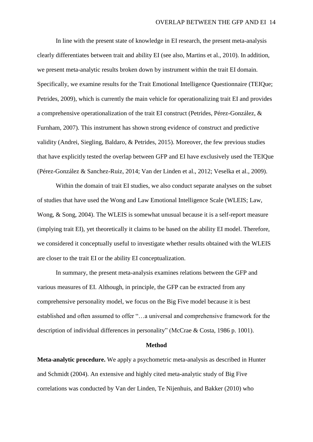In line with the present state of knowledge in EI research, the present meta-analysis clearly differentiates between trait and ability EI (see also, Martins et al., 2010). In addition, we present meta-analytic results broken down by instrument within the trait EI domain. Specifically, we examine results for the Trait Emotional Intelligence Questionnaire (TEIQue; Petrides, 2009), which is currently the main vehicle for operationalizing trait EI and provides a comprehensive operationalization of the trait EI construct (Petrides, Pérez-González, & Furnham, 2007). This instrument has shown strong evidence of construct and predictive validity (Andrei, Siegling, Baldaro, & Petrides, 2015). Moreover, the few previous studies that have explicitly tested the overlap between GFP and EI have exclusively used the TEIQue (Pérez-González & Sanchez-Ruiz, 2014; Van der Linden et al., 2012; Veselka et al., 2009).

Within the domain of trait EI studies, we also conduct separate analyses on the subset of studies that have used the Wong and Law Emotional Intelligence Scale (WLEIS; Law, Wong, & Song, 2004). The WLEIS is somewhat unusual because it is a self-report measure (implying trait EI), yet theoretically it claims to be based on the ability EI model. Therefore, we considered it conceptually useful to investigate whether results obtained with the WLEIS are closer to the trait EI or the ability EI conceptualization.

In summary, the present meta-analysis examines relations between the GFP and various measures of EI. Although, in principle, the GFP can be extracted from any comprehensive personality model, we focus on the Big Five model because it is best established and often assumed to offer "…a universal and comprehensive framework for the description of individual differences in personality" (McCrae & Costa, 1986 p. 1001).

#### **Method**

**Meta-analytic procedure.** We apply a psychometric meta-analysis as described in Hunter and Schmidt (2004). An extensive and highly cited meta-analytic study of Big Five correlations was conducted by Van der Linden, Te Nijenhuis, and Bakker (2010) who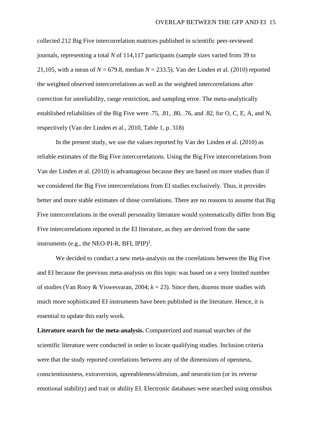collected 212 Big Five intercorrelation matrices published in scientific peer-reviewed journals, representing a total *N* of 114,117 participants (sample sizes varied from 39 to 21,105, with a mean of  $N = 679.8$ , median  $N = 233.5$ ). Van der Linden et al. (2010) reported the weighted observed intercorrelations as well as the weighted intercorrelations after correction for unreliability, range restriction, and sampling error. The meta-analytically established reliabilities of the Big Five were .75, .81, .80, .76, and .82, for O, C, E, A, and N, respectively (Van der Linden et al., 2010, Table 1, p. 318)

In the present study, we use the values reported by Van der Linden et al. (2010) as reliable estimates of the Big Five intercorrelations. Using the Big Five intercorrelations from Van der Linden et al. (2010) is advantageous because they are based on more studies than if we considered the Big Five intercorrelations from EI studies exclusively. Thus, it provides better and more stable estimates of those correlations. There are no reasons to assume that Big Five intercorrelations in the overall personality literature would systematically differ from Big Five intercorrelations reported in the EI literature, as they are derived from the same instruments (e.g., the NEO-PI-R, BFI, IPIP)<sup>2</sup>.

We decided to conduct a new meta-analysis on the correlations between the Big Five and EI because the previous meta-analysis on this topic was based on a very limited number of studies (Van Rooy & Viswesvaran, 2004; *k* = 23). Since then, dozens more studies with much more sophisticated EI instruments have been published in the literature. Hence, it is essential to update this early work.

**Literature search for the meta-analysis.** Computerized and manual searches of the scientific literature were conducted in order to locate qualifying studies. Inclusion criteria were that the study reported correlations between any of the dimensions of openness, conscientiousness, extraversion, agreeableness/altruism, and neuroticism (or its reverse emotional stability) and trait or ability EI. Electronic databases were searched using omnibus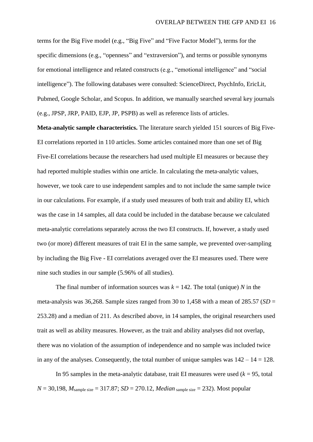terms for the Big Five model (e.g., "Big Five" and "Five Factor Model"), terms for the specific dimensions (e.g., "openness" and "extraversion"), and terms or possible synonyms for emotional intelligence and related constructs (e.g., "emotional intelligence" and "social intelligence"). The following databases were consulted: ScienceDirect, PsychInfo, EricLit, Pubmed, Google Scholar, and Scopus. In addition, we manually searched several key journals (e.g., JPSP, JRP, PAID, EJP, JP, PSPB) as well as reference lists of articles.

**Meta-analytic sample characteristics.** The literature search yielded 151 sources of Big Five-EI correlations reported in 110 articles. Some articles contained more than one set of Big Five-EI correlations because the researchers had used multiple EI measures or because they had reported multiple studies within one article. In calculating the meta-analytic values, however, we took care to use independent samples and to not include the same sample twice in our calculations. For example, if a study used measures of both trait and ability EI, which was the case in 14 samples, all data could be included in the database because we calculated meta-analytic correlations separately across the two EI constructs. If, however, a study used two (or more) different measures of trait EI in the same sample, we prevented over-sampling by including the Big Five - EI correlations averaged over the EI measures used. There were nine such studies in our sample (5.96% of all studies).

The final number of information sources was  $k = 142$ . The total (unique) *N* in the meta-analysis was 36,268. Sample sizes ranged from 30 to 1,458 with a mean of  $285.57$  (*SD* = 253.28) and a median of 211. As described above, in 14 samples, the original researchers used trait as well as ability measures. However, as the trait and ability analyses did not overlap, there was no violation of the assumption of independence and no sample was included twice in any of the analyses. Consequently, the total number of unique samples was  $142 - 14 = 128$ .

In 95 samples in the meta-analytic database, trait EI measures were used  $(k = 95, \text{total})$  $N = 30,198$ ,  $M_{\text{sample size}} = 317.87$ ;  $SD = 270.12$ ,  $Median_{\text{sample size}} = 232$ ). Most popular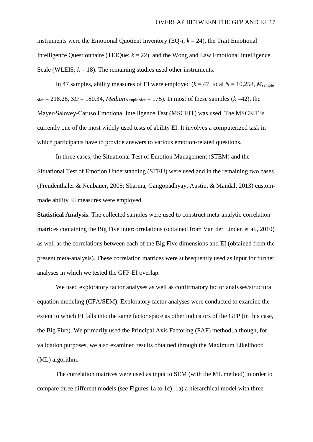instruments were the Emotional Quotient Inventory (EQ-i;  $k = 24$ ), the Trait Emotional Intelligence Questionnaire (TEIQue;  $k = 22$ ), and the Wong and Law Emotional Intelligence Scale (WLEIS;  $k = 18$ ). The remaining studies used other instruments.

In 47 samples, ability measures of EI were employed ( $k = 47$ , total  $N = 10,258$ ,  $M_{\text{sample}}$ )  $size = 218.26$ ,  $SD = 180.34$ , *Median* sample size = 175). In most of these samples ( $k = 42$ ), the Mayer-Salovey-Caruso Emotional Intelligence Test (MSCEIT) was used. The MSCEIT is currently one of the most widely used tests of ability EI. It involves a computerized task in which participants have to provide answers to various emotion-related questions.

In three cases, the Situational Test of Emotion Management (STEM) and the Situational Test of Emotion Understanding (STEU) were used and in the remaining two cases (Freudenthaler & Neubauer, 2005; Sharma, Gangopadhyay, Austin, & Mandal, 2013) custommade ability EI measures were employed.

**Statistical Analysis.** The collected samples were used to construct meta-analytic correlation matrices containing the Big Five intercorrelations (obtained from Van der Linden et al., 2010) as well as the correlations between each of the Big Five dimensions and EI (obtained from the present meta-analysis). These correlation matrices were subsequently used as input for further analyses in which we tested the GFP-EI overlap.

We used exploratory factor analyses as well as confirmatory factor analyses/structural equation modeling (CFA/SEM). Exploratory factor analyses were conducted to examine the extent to which EI falls into the same factor space as other indicators of the GFP (in this case, the Big Five). We primarily used the Principal Axis Factoring (PAF) method, although, for validation purposes, we also examined results obtained through the Maximum Likelihood (ML) algorithm.

The correlation matrices were used as input to SEM (with the ML method) in order to compare three different models (see Figures 1a to 1c): 1a) a hierarchical model with three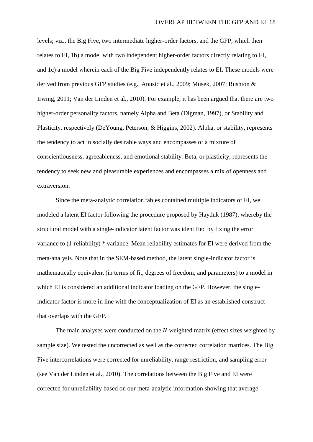levels; viz., the Big Five, two intermediate higher-order factors, and the GFP, which then relates to EI, 1b) a model with two independent higher-order factors directly relating to EI, and 1c) a model wherein each of the Big Five independently relates to EI. These models were derived from previous GFP studies (e.g., Anusic et al., 2009; Musek, 2007; Rushton & Irwing, 2011; Van der Linden et al., 2010). For example, it has been argued that there are two higher-order personality factors, namely Alpha and Beta (Digman, 1997), or Stability and Plasticity, respectively (DeYoung, Peterson, & Higgins, 2002). Alpha, or stability, represents the tendency to act in socially desirable ways and encompasses of a mixture of conscientiousness, agreeableness, and emotional stability. Beta, or plasticity, represents the tendency to seek new and pleasurable experiences and encompasses a mix of openness and extraversion.

Since the meta-analytic correlation tables contained multiple indicators of EI, we modeled a latent EI factor following the procedure proposed by Hayduk (1987), whereby the structural model with a single-indicator latent factor was identified by fixing the error variance to (1-reliability) \* variance. Mean reliability estimates for EI were derived from the meta-analysis. Note that in the SEM-based method, the latent single-indicator factor is mathematically equivalent (in terms of fit, degrees of freedom, and parameters) to a model in which EI is considered an additional indicator loading on the GFP. However, the singleindicator factor is more in line with the conceptualization of EI as an established construct that overlaps with the GFP.

The main analyses were conducted on the *N*-weighted matrix (effect sizes weighted by sample size). We tested the uncorrected as well as the corrected correlation matrices. The Big Five intercorrelations were corrected for unreliability, range restriction, and sampling error (see Van der Linden et al., 2010). The correlations between the Big Five and EI were corrected for unreliability based on our meta-analytic information showing that average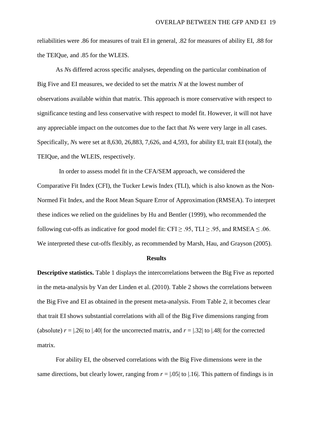reliabilities were .86 for measures of trait EI in general, .82 for measures of ability EI, .88 for the TEIQue, and .85 for the WLEIS.

As *N*s differed across specific analyses, depending on the particular combination of Big Five and EI measures, we decided to set the matrix *N* at the lowest number of observations available within that matrix. This approach is more conservative with respect to significance testing and less conservative with respect to model fit. However, it will not have any appreciable impact on the outcomes due to the fact that *N*s were very large in all cases. Specifically, *N*s were set at 8,630, 26,883, 7,626, and 4,593, for ability EI, trait EI (total), the TEIQue, and the WLEIS, respectively.

 In order to assess model fit in the CFA/SEM approach, we considered the Comparative Fit Index (CFI), the Tucker Lewis Index (TLI), which is also known as the Non-Normed Fit Index, and the Root Mean Square Error of Approximation (RMSEA). To interpret these indices we relied on the guidelines by Hu and Bentler (1999), who recommended the following cut-offs as indicative for good model fit: CFI  $\geq$  .95, TLI  $\geq$  .95, and RMSEA  $\leq$  .06. We interpreted these cut-offs flexibly, as recommended by Marsh, Hau, and Grayson (2005).

#### **Results**

**Descriptive statistics.** Table 1 displays the intercorrelations between the Big Five as reported in the meta-analysis by Van der Linden et al. (2010). Table 2 shows the correlations between the Big Five and EI as obtained in the present meta-analysis. From Table 2, it becomes clear that trait EI shows substantial correlations with all of the Big Five dimensions ranging from (absolute)  $r = |0.26|$  to  $|0.40|$  for the uncorrected matrix, and  $r = |0.32|$  to  $|0.48|$  for the corrected matrix.

For ability EI, the observed correlations with the Big Five dimensions were in the same directions, but clearly lower, ranging from  $r = |0.05|$  to  $|0.16|$ . This pattern of findings is in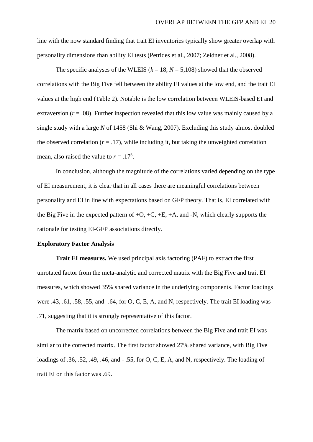line with the now standard finding that trait EI inventories typically show greater overlap with personality dimensions than ability EI tests (Petrides et al., 2007; Zeidner et al., 2008).

The specific analyses of the WLEIS ( $k = 18$ ,  $N = 5,108$ ) showed that the observed correlations with the Big Five fell between the ability EI values at the low end, and the trait EI values at the high end (Table 2). Notable is the low correlation between WLEIS-based EI and extraversion  $(r = .08)$ . Further inspection revealed that this low value was mainly caused by a single study with a large *N* of 1458 (Shi & Wang, 2007). Excluding this study almost doubled the observed correlation  $(r = .17)$ , while including it, but taking the unweighted correlation mean, also raised the value to  $r = .17<sup>3</sup>$ .

In conclusion, although the magnitude of the correlations varied depending on the type of EI measurement, it is clear that in all cases there are meaningful correlations between personality and EI in line with expectations based on GFP theory. That is, EI correlated with the Big Five in the expected pattern of  $+O$ ,  $+C$ ,  $+E$ ,  $+A$ , and  $-N$ , which clearly supports the rationale for testing EI-GFP associations directly.

## **Exploratory Factor Analysis**

**Trait EI measures.** We used principal axis factoring (PAF) to extract the first unrotated factor from the meta-analytic and corrected matrix with the Big Five and trait EI measures, which showed 35% shared variance in the underlying components. Factor loadings were .43, .61, .58, .55, and -.64, for O, C, E, A, and N, respectively. The trait EI loading was .71, suggesting that it is strongly representative of this factor.

The matrix based on uncorrected correlations between the Big Five and trait EI was similar to the corrected matrix. The first factor showed 27% shared variance, with Big Five loadings of .36, .52, .49, .46, and - .55, for O, C, E, A, and N, respectively. The loading of trait EI on this factor was .69.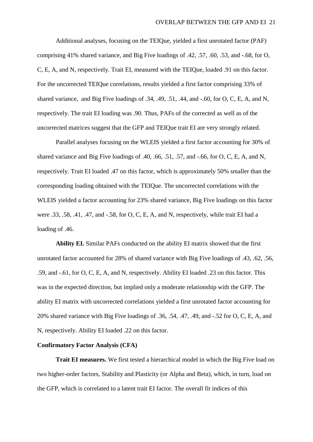Additional analyses, focusing on the TEIQue, yielded a first unrotated factor (PAF) comprising 41% shared variance, and Big Five loadings of .42, .57, .60, .53, and -.68, for O, C, E, A, and N, respectively. Trait EI, measured with the TEIQue, loaded .91 on this factor. For the uncorrected TEIQue correlations, results yielded a first factor comprising 33% of shared variance, and Big Five loadings of .34, .49, .51, .44, and -.60, for O, C, E, A, and N, respectively. The trait EI loading was .90. Thus, PAFs of the corrected as well as of the uncorrected matrices suggest that the GFP and TEIQue trait EI are very strongly related.

Parallel analyses focusing on the WLEIS yielded a first factor accounting for 30% of shared variance and Big Five loadings of .40, .66, .51, .57, and -.66, for O, C, E, A, and N, respectively. Trait EI loaded .47 on this factor, which is approximately 50% smaller than the corresponding loading obtained with the TEIQue. The uncorrected correlations with the WLEIS yielded a factor accounting for 23% shared variance, Big Five loadings on this factor were .33, .58, .41, .47, and -.58, for O, C, E, A, and N, respectively, while trait EI had a loading of  $.46$ .

**Ability EI.** Similar PAFs conducted on the ability EI matrix showed that the first unrotated factor accounted for 28% of shared variance with Big Five loadings of .43, .62, .56, .59, and -.61, for O, C, E, A, and N, respectively. Ability EI loaded .23 on this factor. This was in the expected direction, but implied only a moderate relationship with the GFP. The ability EI matrix with uncorrected correlations yielded a first unrotated factor accounting for 20% shared variance with Big Five loadings of .36, .54, .47, .49, and -.52 for O, C, E, A, and N, respectively. Ability EI loaded .22 on this factor.

#### **Confirmatory Factor Analysis (CFA)**

**Trait EI measures.** We first tested a hierarchical model in which the Big Five load on two higher-order factors, Stability and Plasticity (or Alpha and Beta), which, in turn, load on the GFP, which is correlated to a latent trait EI factor. The overall fit indices of this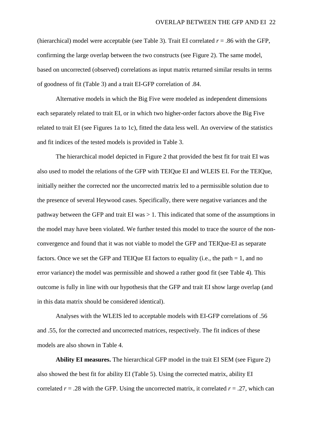(hierarchical) model were acceptable (see Table 3). Trait EI correlated  $r = .86$  with the GFP, confirming the large overlap between the two constructs (see Figure 2). The same model, based on uncorrected (observed) correlations as input matrix returned similar results in terms of goodness of fit (Table 3) and a trait EI-GFP correlation of .84.

Alternative models in which the Big Five were modeled as independent dimensions each separately related to trait EI, or in which two higher-order factors above the Big Five related to trait EI (see Figures 1a to 1c), fitted the data less well. An overview of the statistics and fit indices of the tested models is provided in Table 3.

The hierarchical model depicted in Figure 2 that provided the best fit for trait EI was also used to model the relations of the GFP with TEIQue EI and WLEIS EI. For the TEIQue, initially neither the corrected nor the uncorrected matrix led to a permissible solution due to the presence of several Heywood cases. Specifically, there were negative variances and the pathway between the GFP and trait EI was > 1. This indicated that some of the assumptions in the model may have been violated. We further tested this model to trace the source of the nonconvergence and found that it was not viable to model the GFP and TEIQue-EI as separate factors. Once we set the GFP and TEIQue EI factors to equality (i.e., the path = 1, and no error variance) the model was permissible and showed a rather good fit (see Table 4). This outcome is fully in line with our hypothesis that the GFP and trait EI show large overlap (and in this data matrix should be considered identical).

Analyses with the WLEIS led to acceptable models with EI-GFP correlations of .56 and .55, for the corrected and uncorrected matrices, respectively. The fit indices of these models are also shown in Table 4.

**Ability EI measures.** The hierarchical GFP model in the trait EI SEM (see Figure 2) also showed the best fit for ability EI (Table 5). Using the corrected matrix, ability EI correlated  $r = .28$  with the GFP. Using the uncorrected matrix, it correlated  $r = .27$ , which can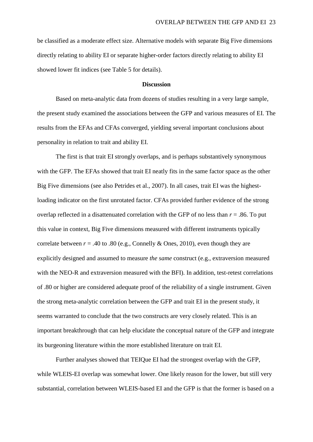be classified as a moderate effect size. Alternative models with separate Big Five dimensions directly relating to ability EI or separate higher-order factors directly relating to ability EI showed lower fit indices (see Table 5 for details).

## **Discussion**

Based on meta-analytic data from dozens of studies resulting in a very large sample, the present study examined the associations between the GFP and various measures of EI. The results from the EFAs and CFAs converged, yielding several important conclusions about personality in relation to trait and ability EI.

The first is that trait EI strongly overlaps, and is perhaps substantively synonymous with the GFP. The EFAs showed that trait EI neatly fits in the same factor space as the other Big Five dimensions (see also Petrides et al., 2007). In all cases, trait EI was the highestloading indicator on the first unrotated factor. CFAs provided further evidence of the strong overlap reflected in a disattenuated correlation with the GFP of no less than *r* = .86. To put this value in context, Big Five dimensions measured with different instruments typically correlate between  $r = .40$  to  $.80$  (e.g., Connelly & Ones, 2010), even though they are explicitly designed and assumed to measure *the same* construct (e.g., extraversion measured with the NEO-R and extraversion measured with the BFI). In addition, test-retest correlations of .80 or higher are considered adequate proof of the reliability of a single instrument. Given the strong meta-analytic correlation between the GFP and trait EI in the present study, it seems warranted to conclude that the two constructs are very closely related. This is an important breakthrough that can help elucidate the conceptual nature of the GFP and integrate its burgeoning literature within the more established literature on trait EI.

Further analyses showed that TEIQue EI had the strongest overlap with the GFP, while WLEIS-EI overlap was somewhat lower. One likely reason for the lower, but still very substantial, correlation between WLEIS-based EI and the GFP is that the former is based on a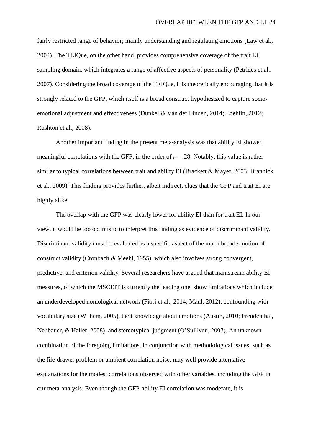fairly restricted range of behavior; mainly understanding and regulating emotions (Law et al., 2004). The TEIQue, on the other hand, provides comprehensive coverage of the trait EI sampling domain, which integrates a range of affective aspects of personality (Petrides et al., 2007). Considering the broad coverage of the TEIQue, it is theoretically encouraging that it is strongly related to the GFP, which itself is a broad construct hypothesized to capture socioemotional adjustment and effectiveness (Dunkel & Van der Linden, 2014; Loehlin, 2012; Rushton et al., 2008).

Another important finding in the present meta-analysis was that ability EI showed meaningful correlations with the GFP, in the order of  $r = .28$ . Notably, this value is rather similar to typical correlations between trait and ability EI (Brackett & Mayer, 2003; Brannick et al., 2009). This finding provides further, albeit indirect, clues that the GFP and trait EI are highly alike.

The overlap with the GFP was clearly lower for ability EI than for trait EI. In our view, it would be too optimistic to interpret this finding as evidence of discriminant validity. Discriminant validity must be evaluated as a specific aspect of the much broader notion of construct validity (Cronbach & Meehl, 1955), which also involves strong convergent, predictive, and criterion validity. Several researchers have argued that mainstream ability EI measures, of which the MSCEIT is currently the leading one, show limitations which include an underdeveloped nomological network (Fiori et al., 2014; Maul, 2012), confounding with vocabulary size (Wilhem, 2005), tacit knowledge about emotions (Austin, 2010; Freudenthal, Neubauer, & Haller, 2008), and stereotypical judgment (O'Sullivan, 2007). An unknown combination of the foregoing limitations, in conjunction with methodological issues, such as the file-drawer problem or ambient correlation noise, may well provide alternative explanations for the modest correlations observed with other variables, including the GFP in our meta-analysis. Even though the GFP-ability EI correlation was moderate, it is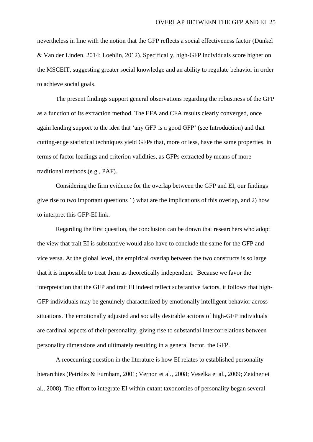nevertheless in line with the notion that the GFP reflects a social effectiveness factor (Dunkel & Van der Linden, 2014; Loehlin, 2012). Specifically, high-GFP individuals score higher on the MSCEIT, suggesting greater social knowledge and an ability to regulate behavior in order to achieve social goals.

The present findings support general observations regarding the robustness of the GFP as a function of its extraction method. The EFA and CFA results clearly converged, once again lending support to the idea that 'any GFP is a good GFP' (see Introduction) and that cutting-edge statistical techniques yield GFPs that, more or less, have the same properties, in terms of factor loadings and criterion validities, as GFPs extracted by means of more traditional methods (e.g., PAF).

Considering the firm evidence for the overlap between the GFP and EI, our findings give rise to two important questions 1) what are the implications of this overlap, and 2) how to interpret this GFP-EI link.

Regarding the first question, the conclusion can be drawn that researchers who adopt the view that trait EI is substantive would also have to conclude the same for the GFP and vice versa. At the global level, the empirical overlap between the two constructs is so large that it is impossible to treat them as theoretically independent. Because we favor the interpretation that the GFP and trait EI indeed reflect substantive factors, it follows that high-GFP individuals may be genuinely characterized by emotionally intelligent behavior across situations. The emotionally adjusted and socially desirable actions of high-GFP individuals are cardinal aspects of their personality, giving rise to substantial intercorrelations between personality dimensions and ultimately resulting in a general factor, the GFP.

A reoccurring question in the literature is how EI relates to established personality hierarchies (Petrides & Furnham, 2001; Vernon et al., 2008; Veselka et al., 2009; Zeidner et al., 2008). The effort to integrate EI within extant taxonomies of personality began several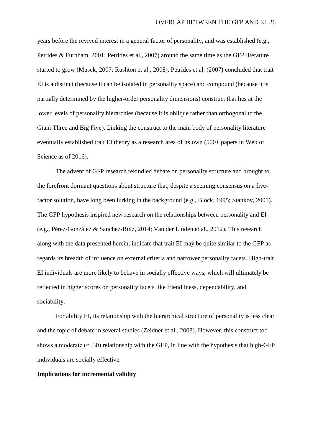years before the revived interest in a general factor of personality, and was established (e.g., Petrides & Furnham, 2001; Petrides et al., 2007) around the same time as the GFP literature started to grow (Musek, 2007; Rushton et al., 2008). Petrides et al. (2007) concluded that trait EI is a distinct (because it can be isolated in personality space) and compound (because it is partially determined by the higher-order personality dimensions) construct that lies at the lower levels of personality hierarchies (because it is oblique rather than orthogonal to the Giant Three and Big Five). Linking the construct to the main body of personality literature eventually established trait EI theory as a research area of its own (500+ papers in Web of Science as of 2016).

The advent of GFP research rekindled debate on personality structure and brought to the forefront dormant questions about structure that, despite a seeming consensus on a fivefactor solution, have long been lurking in the background (e.g., Block, 1995; Stankov, 2005). The GFP hypothesis inspired new research on the relationships between personality and EI (e.g., Pérez-González & Sanchez-Ruiz, 2014; Van der Linden et al., 2012). This research along with the data presented herein, indicate that trait EI may be quite similar to the GFP as regards its breadth of influence on external criteria and narrower personality facets. High-trait EI individuals are more likely to behave in socially effective ways, which will ultimately be reflected in higher scores on personality facets like friendliness, dependability, and sociability.

For ability EI, its relationship with the hierarchical structure of personality is less clear and the topic of debate in several studies (Zeidner et al., 2008). However, this construct too shows a moderate ( $\approx$  .30) relationship with the GFP, in line with the hypothesis that high-GFP individuals are socially effective.

#### **Implications for incremental validity**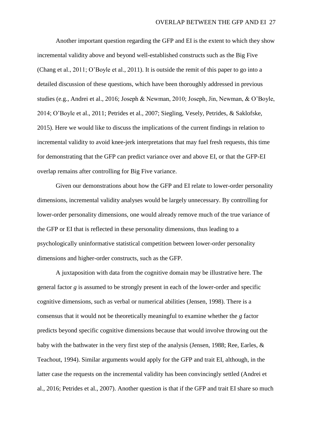Another important question regarding the GFP and EI is the extent to which they show incremental validity above and beyond well-established constructs such as the Big Five (Chang et al., 2011; O'Boyle et al., 2011). It is outside the remit of this paper to go into a detailed discussion of these questions, which have been thoroughly addressed in previous studies (e.g., Andrei et al., 2016; Joseph & Newman, 2010; Joseph, Jin, Newman, & O'Boyle, 2014; O'Boyle et al., 2011; Petrides et al., 2007; Siegling, Vesely, Petrides, & Saklofske, 2015). Here we would like to discuss the implications of the current findings in relation to incremental validity to avoid knee-jerk interpretations that may fuel fresh requests, this time for demonstrating that the GFP can predict variance over and above EI, or that the GFP-EI overlap remains after controlling for Big Five variance.

Given our demonstrations about how the GFP and EI relate to lower-order personality dimensions, incremental validity analyses would be largely unnecessary. By controlling for lower-order personality dimensions, one would already remove much of the true variance of the GFP or EI that is reflected in these personality dimensions, thus leading to a psychologically uninformative statistical competition between lower-order personality dimensions and higher-order constructs, such as the GFP.

A juxtaposition with data from the cognitive domain may be illustrative here. The general factor *g* is assumed to be strongly present in each of the lower-order and specific cognitive dimensions, such as verbal or numerical abilities (Jensen, 1998). There is a consensus that it would not be theoretically meaningful to examine whether the *g* factor predicts beyond specific cognitive dimensions because that would involve throwing out the baby with the bathwater in the very first step of the analysis (Jensen, 1988; Ree, Earles, & Teachout, 1994). Similar arguments would apply for the GFP and trait EI, although, in the latter case the requests on the incremental validity has been convincingly settled (Andrei et al., 2016; Petrides et al., 2007). Another question is that if the GFP and trait EI share so much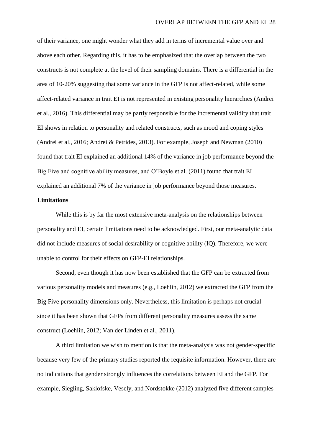of their variance, one might wonder what they add in terms of incremental value over and above each other. Regarding this, it has to be emphasized that the overlap between the two constructs is not complete at the level of their sampling domains. There is a differential in the area of 10-20% suggesting that some variance in the GFP is not affect-related, while some affect-related variance in trait EI is not represented in existing personality hierarchies (Andrei et al., 2016). This differential may be partly responsible for the incremental validity that trait EI shows in relation to personality and related constructs, such as mood and coping styles (Andrei et al., 2016; Andrei & Petrides, 2013). For example, Joseph and Newman (2010) found that trait EI explained an additional 14% of the variance in job performance beyond the Big Five and cognitive ability measures, and O'Boyle et al. (2011) found that trait EI explained an additional 7% of the variance in job performance beyond those measures.

## **Limitations**

While this is by far the most extensive meta-analysis on the relationships between personality and EI, certain limitations need to be acknowledged. First, our meta-analytic data did not include measures of social desirability or cognitive ability (IQ). Therefore, we were unable to control for their effects on GFP-EI relationships.

Second, even though it has now been established that the GFP can be extracted from various personality models and measures (e.g., Loehlin, 2012) we extracted the GFP from the Big Five personality dimensions only. Nevertheless, this limitation is perhaps not crucial since it has been shown that GFPs from different personality measures assess the same construct (Loehlin, 2012; Van der Linden et al., 2011).

A third limitation we wish to mention is that the meta-analysis was not gender-specific because very few of the primary studies reported the requisite information. However, there are no indications that gender strongly influences the correlations between EI and the GFP. For example, Siegling, Saklofske, Vesely, and Nordstokke (2012) analyzed five different samples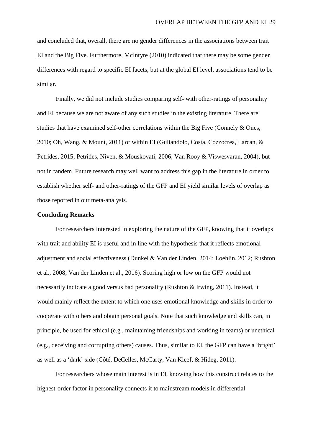and concluded that, overall, there are no gender differences in the associations between trait EI and the Big Five. Furthermore, McIntyre (2010) indicated that there may be some gender differences with regard to specific EI facets, but at the global EI level, associations tend to be similar.

Finally, we did not include studies comparing self- with other-ratings of personality and EI because we are not aware of any such studies in the existing literature. There are studies that have examined self-other correlations within the Big Five (Connely & Ones, 2010; Oh, Wang, & Mount, 2011) or within EI (Guliandolo, Costa, Cozzocrea, Larcan, & Petrides, 2015; Petrides, Niven, & Mouskovati, 2006; Van Rooy & Viswesvaran, 2004), but not in tandem. Future research may well want to address this gap in the literature in order to establish whether self- and other-ratings of the GFP and EI yield similar levels of overlap as those reported in our meta-analysis.

#### **Concluding Remarks**

For researchers interested in exploring the nature of the GFP, knowing that it overlaps with trait and ability EI is useful and in line with the hypothesis that it reflects emotional adjustment and social effectiveness (Dunkel & Van der Linden, 2014; Loehlin, 2012; Rushton et al., 2008; Van der Linden et al., 2016). Scoring high or low on the GFP would not necessarily indicate a good versus bad personality (Rushton & Irwing, 2011). Instead, it would mainly reflect the extent to which one uses emotional knowledge and skills in order to cooperate with others and obtain personal goals. Note that such knowledge and skills can, in principle, be used for ethical (e.g., maintaining friendships and working in teams) or unethical (e.g., deceiving and corrupting others) causes. Thus, similar to EI, the GFP can have a 'bright' as well as a 'dark' side (Côté, DeCelles, McCarty, Van Kleef, & Hideg, 2011).

For researchers whose main interest is in EI, knowing how this construct relates to the highest-order factor in personality connects it to mainstream models in differential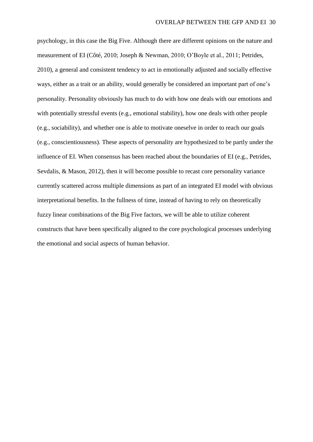psychology, in this case the Big Five. Although there are different opinions on the nature and measurement of EI (Côté, 2010; Joseph & Newman, 2010; O'Boyle et al., 2011; Petrides, 2010), a general and consistent tendency to act in emotionally adjusted and socially effective ways, either as a trait or an ability, would generally be considered an important part of one's personality. Personality obviously has much to do with how one deals with our emotions and with potentially stressful events (e.g., emotional stability), how one deals with other people (e.g., sociability), and whether one is able to motivate oneselve in order to reach our goals (e.g., conscientiousness). These aspects of personality are hypothesized to be partly under the influence of EI. When consensus has been reached about the boundaries of EI (e.g., Petrides, Sevdalis, & Mason, 2012), then it will become possible to recast core personality variance currently scattered across multiple dimensions as part of an integrated EI model with obvious interpretational benefits. In the fullness of time, instead of having to rely on theoretically fuzzy linear combinations of the Big Five factors, we will be able to utilize coherent constructs that have been specifically aligned to the core psychological processes underlying the emotional and social aspects of human behavior.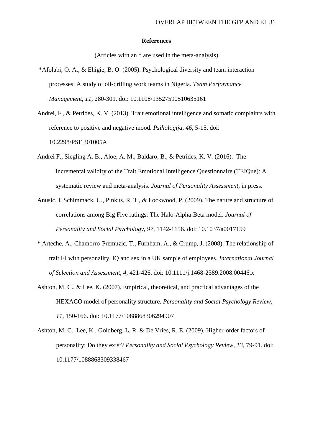#### **References**

(Articles with an \* are used in the meta-analysis)

- \*Afolabi, O. A., & Ehigie, B. O. (2005). Psychological diversity and team interaction processes: A study of oil-drilling work teams in Nigeria. *Team Performance Management, 11*, 280-301. doi: 10.1108/13527590510635161
- Andrei, F., & Petrides, K. V. (2013). Trait emotional intelligence and somatic complaints with reference to positive and negative mood. *Psihologija, 46,* 5-15. doi: 10.2298/PSI1301005A
- Andrei F., Siegling A. B., Aloe, A. M., Baldaro, B., & Petrides, K. V. (2016). The incremental validity of the Trait Emotional Intelligence Questionnaire (TEIQue): A systematic review and meta-analysis. *Journal of Personality Assessment*, in press.
- Anusic, I, Schimmack, U., Pinkus, R. T., & Lockwood, P. (2009). The nature and structure of correlations among Big Five ratings: The Halo-Alpha-Beta model. *Journal of Personality and Social Psychology, 97*, 1142-1156. doi: 10.1037/a0017159
- \* Arteche, A., Chamorro-Premuzic, T., Furnham, A., & Crump, J. (2008). The relationship of trait EI with personality, IQ and sex in a UK sample of employees. *International Journal of Selection and Assessment, 4*, 421-426. doi: 10.1111/j.1468-2389.2008.00446.x
- Ashton, M. C., & Lee, K. (2007). Empirical, theoretical, and practical advantages of the HEXACO model of personality structure. *Personality and Social Psychology Review, 11*, 150-166. doi: 10.1177/1088868306294907
- Ashton, M. C., Lee, K., Goldberg, L. R. & De Vries, R. E. (2009). Higher-order factors of personality: Do they exist? *Personality and Social Psychology Review, 13*, 79-91. doi: 10.1177/1088868309338467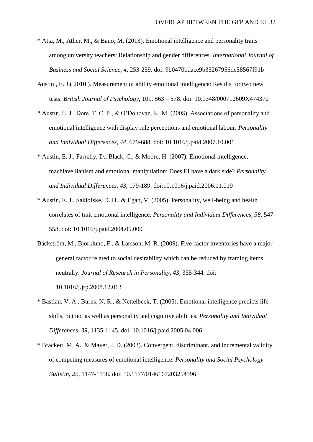- \* Atta, M., Ather, M., & Bano, M. (2013). Emotional intelligence and personality traits among university teachers: Relationship and gender differences. *International Journal of Business and Social Science, 4*, 253-259. doi: 9b0470bdace9b33267956dc58567f91b
- Austin , E. J.( 2010 ). Measurement of ability emotional intelligence: Results for two new tests. *British Journal of Psychology*, 101, 563 – 578. doi: 10.1348/000712609X474370
- \* Austin, E. J., Dore, T. C. P., & O'Donovan, K. M. (2008). Associations of personality and emotional intelligence with display rule perceptions and emotional labour. *Personality and Individual Differences, 44*, 679-688. doi: 10.1016/j.paid.2007.10.001
- \* Austin, E. J., Farrelly, D., Black, C., & Moore, H. (2007). Emotional intelligence, machiavellianism and emotional manipulation: Does EI have a dark side? *Personality and Individual Differences, 43*, 179-189. doi:10.1016/j.paid.2006.11.019
- \* Austin, E. J., Saklofske, D. H., & Egan, V. (2005). Personality, well-being and health correlates of trait emotional intelligence. *Personality and Individual Differences, 38*, 547- 558. doi: 10.1016/j.paid.2004.05.009
- Bäckström, M., Björklund, F., & Larsson, M. R. (2009). Five-factor inventories have a major general factor related to social desirability which can be reduced by framing items neutrally. *Journal of Research in Personality*, *43,* 335-344. doi: 10.1016/j.jrp.2008.12.013
- \* Bastian, V. A., Burns, N. R., & Nettelbeck, T. (2005). Emotional intelligence predicts life skills, but not as well as personality and cognitive abilities. *Personality and Individual Differences, 39*, 1135-1145. doi: 10.1016/j.paid.2005.04.006.
- \* Brackett, M. A., & Mayer, J. D. (2003). Convergent, discriminant, and incremental validity of competing measures of emotional intelligence. *Personality and Social Psychology Bulletin, 29*, 1147-1158. doi: 10.1177/0146167203254596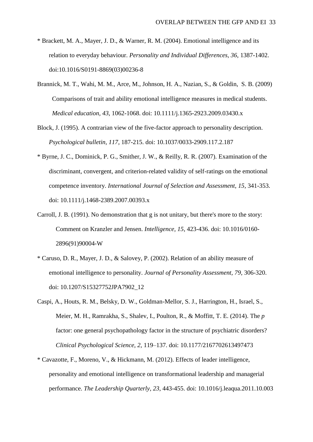- \* Brackett, M. A., Mayer, J. D., & Warner, R. M. (2004). Emotional intelligence and its relation to everyday behaviour. *Personality and Individual Differences, 36*, 1387-1402. doi:10.1016/S0191-8869(03)00236-8
- Brannick, M. T., Wahi, M. M., Arce, M., Johnson, H. A., Nazian, S., & Goldin, S. B. (2009) Comparisons of trait and ability emotional intelligence measures in medical students. *Medical education, 43*, 1062-1068. doi: 10.1111/j.1365-2923.2009.03430.x
- Block, J. (1995). A contrarian view of the five-factor approach to personality description. *Psychological bulletin, 117*, 187-215. doi: 10.1037/0033-2909.117.2.187
- \* Byrne, J. C., Dominick, P. G., Smither, J. W., & Reilly, R. R. (2007). Examination of the discriminant, convergent, and criterion-related validity of self-ratings on the emotional competence inventory. *International Journal of Selection and Assessment, 15*, 341-353. doi: 10.1111/j.1468-2389.2007.00393.x
- Carroll, J. B. (1991). No demonstration that g is not unitary, but there's more to the story: Comment on Kranzler and Jensen. *Intelligence, 15*, 423-436. doi: 10.1016/0160- 2896(91)90004-W
- \* Caruso, D. R., Mayer, J. D., & Salovey, P. (2002). Relation of an ability measure of emotional intelligence to personality. *Journal of Personality Assessment, 79*, 306-320. doi: 10.1207/S15327752JPA7902\_12
- Caspi, A., Houts, R. M., Belsky, D. W., Goldman-Mellor, S. J., Harrington, H., Israel, S., Meier, M. H., Ramrakha, S., Shalev, I., Poulton, R., & Moffitt, T. E. (2014). The *p* factor: one general psychopathology factor in the structure of psychiatric disorders? *Clinical Psychological Science, 2*, 119–137. doi: 10.1177/2167702613497473
- \* Cavazotte, F., Moreno, V., & Hickmann, M. (2012). Effects of leader intelligence, personality and emotional intelligence on transformational leadership and managerial performance. *The Leadership Quarterly, 23*, 443-455. doi: 10.1016/j.leaqua.2011.10.003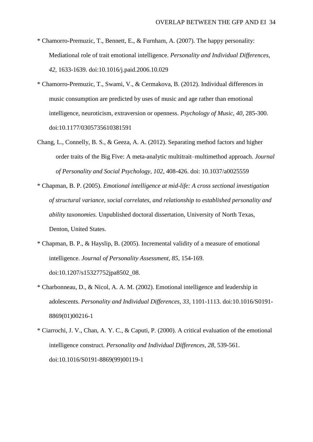- \* Chamorro-Premuzic, T., Bennett, E., & Furnham, A. (2007). The happy personality: Mediational role of trait emotional intelligence. *Personality and Individual Differences, 42*, 1633-1639. doi:10.1016/j.paid.2006.10.029
- \* Chamorro-Premuzic, T., Swami, V., & Cermakova, B. (2012). Individual differences in music consumption are predicted by uses of music and age rather than emotional intelligence, neuroticism, extraversion or openness. *Psychology of Music, 40*, 285-300. doi:10.1177/0305735610381591
- Chang, L., Connelly, B. S., & Geeza, A. A. (2012). Separating method factors and higher order traits of the Big Five: A meta-analytic multitrait–multimethod approach. *Journal of Personality and Social Psychology, 102*, 408-426. doi: 10.1037/a0025559
- \* Chapman, B. P. (2005). *Emotional intelligence at mid-life: A cross sectional investigation of structural variance, social correlates, and relationship to established personality and ability taxonomies.* Unpublished doctoral dissertation, University of North Texas, Denton, United States.
- \* Chapman, B. P., & Hayslip, B. (2005). Incremental validity of a measure of emotional intelligence. *Journal of Personality Assessment, 85*, 154-169. doi:10.1207/s15327752jpa8502\_08.
- \* Charbonneau, D., & Nicol, A. A. M. (2002). Emotional intelligence and leadership in adolescents. *Personality and Individual Differences, 33*, 1101-1113. doi:10.1016/S0191- 8869(01)00216-1
- \* Ciarrochi, J. V., Chan, A. Y. C., & Caputi, P. (2000). A critical evaluation of the emotional intelligence construct. *Personality and Individual Differences, 28*, 539-561. doi:10.1016/S0191-8869(99)00119-1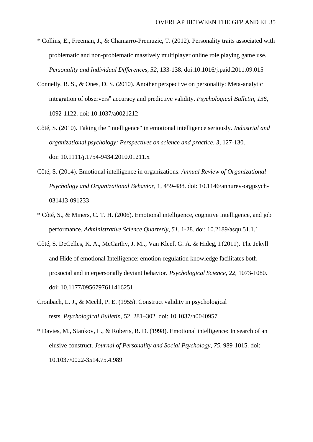- \* Collins, E., Freeman, J., & Chamarro-Premuzic, T. (2012). Personality traits associated with problematic and non-problematic massively multiplayer online role playing game use. *Personality and Individual Differences, 52*, 133-138. doi:10.1016/j.paid.2011.09.015
- Connelly, B. S., & Ones, D. S. (2010). Another perspective on personality: Meta-analytic integration of observers" accuracy and predictive validity. *Psychological Bulletin, 136*, 1092-1122. doi: 10.1037/a0021212
- Côté, S. (2010). Taking the "intelligence" in emotional intelligence seriously. *Industrial and organizational psychology: Perspectives on science and practice, 3*, 127-130. doi: 10.1111/j.1754-9434.2010.01211.x
- Côté, S. (2014). Emotional intelligence in organizations. *Annual Review of Organizational Psychology and Organizational Behavior,* 1, 459-488. doi: 10.1146/annurev-orgpsych-031413-091233
- \* Côté, S., & Miners, C. T. H. (2006). Emotional intelligence, cognitive intelligence, and job performance. *Administrative Science Quarterly, 51*, 1-28. doi: 10.2189/asqu.51.1.1
- Côté, S. DeCelles, K. A., McCarthy, J. M.., Van Kleef, G. A. & Hideg, I.(2011). The Jekyll and Hide of emotional Intelligence: emotion-regulation knowledge facilitates both prosocial and interpersonally deviant behavior. *Psychological Science, 22*, 1073-1080. doi: 10.1177/0956797611416251
- Cronbach, L. J., & Meehl, P. E. (1955). Construct validity in psychological tests. *Psychological Bulletin*, 52, 281–302. doi: 10.1037/h0040957
- \* Davies, M., Stankov, L., & Roberts, R. D. (1998). Emotional intelligence: In search of an elusive construct. *Journal of Personality and Social Psychology, 75*, 989-1015. doi: 10.1037/0022-3514.75.4.989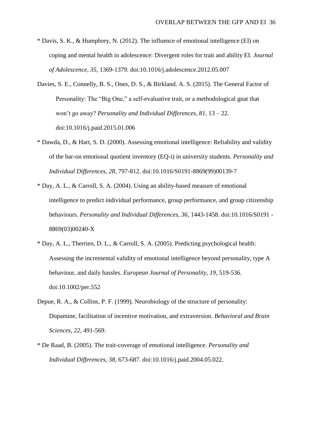- \* Davis, S. K., & Humphrey, N. (2012). The influence of emotional intelligence (EI) on coping and mental health in adolescence: Divergent roles for trait and ability EI. *Journal of Adolescence, 35*, 1369-1379. doi:10.1016/j.adolescence.2012.05.007
- Davies, S. E., Connelly, B. S., Ones, D. S., & Birkland. A. S. (2015). The General Factor of Personality: The "Big One," a self-evaluative trait, or a methodological gnat that won't go away? *Personality and Individual Differences, 81*, 13 – 22. doi:10.1016/j.paid.2015.01.006
- \* Dawda, D., & Hart, S. D. (2000). Assessing emotional intelligence: Reliability and validity of the bar-on emotional quotient inventory (EQ-i) in university students. *Personality and Individual Differences, 28*, 797-812. doi:10.1016/S0191-8869(99)00139-7
- \* Day, A. L., & Carroll, S. A. (2004). Using an ability-based measure of emotional intelligence to predict individual performance, group performance, and group citizenship behaviours. *Personality and Individual Differences, 36*, 1443-1458. doi:10.1016/S0191 - 8869(03)00240-X
- \* Day, A. L., Therrien, D. L., & Carroll, S. A. (2005). Predicting psychological health: Assessing the incremental validity of emotional intelligence beyond personality, type A behaviour, and daily hassles. *European Journal of Personality, 19*, 519-536. doi:10.1002/per.552
- Depue, R. A., & Collins, P. F. (1999). Neurobiology of the structure of personality: Dopamine, facilitation of incentive motivation, and extraversion. *Behavioral and Brain Sciences, 22*, 491-569.
- \* De Raad, B. (2005). The trait-coverage of emotional intelligence. *Personality and Individual Differences, 38*, 673-687. doi:10.1016/j.paid.2004.05.022.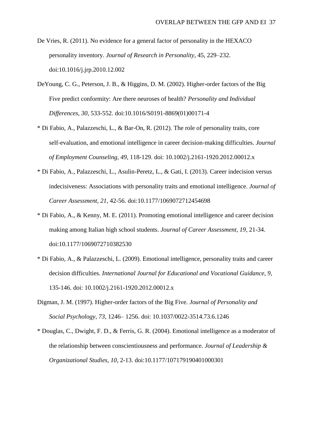- De Vries, R. (2011). No evidence for a general factor of personality in the HEXACO personality inventory. *Journal of Research in Personality*, 45, 229–232. doi:10.1016/j.jrp.2010.12.002
- DeYoung, C. G., Peterson, J. B., & Higgins, D. M. (2002). Higher-order factors of the Big Five predict conformity: Are there neuroses of health? *Personality and Individual Differences, 30*, 533-552. doi:10.1016/S0191-8869(01)00171-4
- \* Di Fabio, A., Palazzeschi, L., & Bar‐On, R. (2012). The role of personality traits, core self‐evaluation, and emotional intelligence in career decision‐making difficulties. *Journal of Employment Counseling, 49*, 118-129. doi: 10.1002/j.2161-1920.2012.00012.x
- \* Di Fabio, A., Palazzeschi, L., Asulin-Peretz, L., & Gati, I. (2013). Career indecision versus indecisiveness: Associations with personality traits and emotional intelligence. *Journal of Career Assessment, 21*, 42-56. doi:10.1177/1069072712454698
- \* Di Fabio, A., & Kenny, M. E. (2011). Promoting emotional intelligence and career decision making among Italian high school students. *Journal of Career Assessment, 19*, 21-34. doi:10.1177/1069072710382530
- \* Di Fabio, A., & Palazzeschi, L. (2009). Emotional intelligence, personality traits and career decision difficulties. *International Journal for Educational and Vocational Guidance, 9*, 135-146. doi: 10.1002/j.2161-1920.2012.00012.x
- Digman, J. M. (1997). Higher-order factors of the Big Five. *Journal of Personality and Social Psychology, 73*, 1246– 1256. doi: 10.1037/0022-3514.73.6.1246
- \* Douglas, C., Dwight, F. D., & Ferris, G. R. (2004). Emotional intelligence as a moderator of the relationship between conscientiousness and performance. *Journal of Leadership & Organizational Studies, 10*, 2-13. doi:10.1177/107179190401000301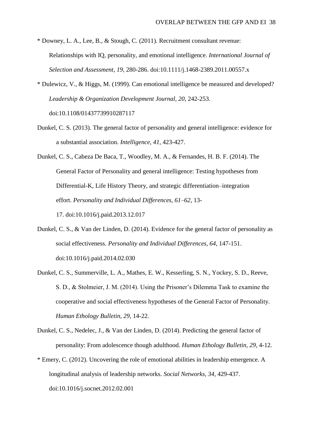- \* Downey, L. A., Lee, B., & Stough, C. (2011). Recruitment consultant revenue: Relationships with IQ, personality, and emotional intelligence. *International Journal of Selection and Assessment, 19*, 280-286. doi:10.1111/j.1468-2389.2011.00557.x
- \* Dulewicz, V., & Higgs, M. (1999). Can emotional intelligence be measured and developed? *Leadership & Organization Development Journal, 20*, 242-253. doi:10.1108/01437739910287117
- Dunkel, C. S. (2013). The general factor of personality and general intelligence: evidence for a substantial association. *Intelligence, 41*, 423-427.
- Dunkel, C. S., Cabeza De Baca, T., Woodley, M. A., & Fernandes, H. B. F. (2014). The General Factor of Personality and general intelligence: Testing hypotheses from Differential-K, Life History Theory, and strategic differentiation–integration effort. *Personality and Individual Differences, 61–62*, 13- 17. doi:10.1016/j.paid.2013.12.017
- Dunkel, C. S., & Van der Linden, D. (2014). Evidence for the general factor of personality as social effectiveness. *Personality and Individual Differences, 64,* 147-151. doi:10.1016/j.paid.2014.02.030
- Dunkel, C. S., Summerville, L. A., Mathes, E. W., Kesserling, S. N., Yockey, S. D., Reeve, S. D., & Stolmeier, J. M. (2014). Using the Prisoner's Dilemma Task to examine the cooperative and social effectiveness hypotheses of the General Factor of Personality. *Human Ethology Bulletin, 29*, 14-22.
- Dunkel, C. S., Nedelec, J., & Van der Linden, D. (2014). Predicting the general factor of personality: From adolescence though adulthood. *Human Ethology Bulletin, 29*, 4-12.
- \* Emery, C. (2012). Uncovering the role of emotional abilities in leadership emergence. A longitudinal analysis of leadership networks. *Social Networks, 34*, 429-437. doi:10.1016/j.socnet.2012.02.001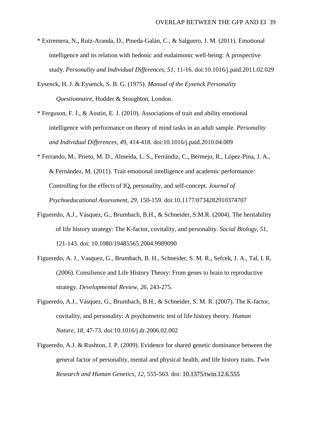- \* Extremera, N., Ruiz-Aranda, D., Pineda-Galán, C., & Salguero, J. M. (2011). Emotional intelligence and its relation with hedonic and eudaimonic well-being: A prospective study. *Personality and Individual Differences, 51*, 11-16. doi:10.1016/j.paid.2011.02.029
- Eysenck, H. J. & Eysenck, S. B. G. (1975). *Manual of the Eysenck Personality Questionnaire*, Hodder & Stoughton, London.
- \* Ferguson, F. J., & Austin, E. J. (2010). Associations of trait and ability emotional intelligence with performance on theory of mind tasks in an adult sample. *Personality and Individual Differences, 49*, 414-418. doi:10.1016/j.paid.2010.04.009
- \* Ferrando, M., Prieto, M. D., Almeida, L. S., Ferrándiz, C., Bermejo, R., López-Pina, J. A., & Fernández, M. (2011). Trait emotional intelligence and academic performance: Controlling for the effects of IQ, personality, and self-concept. *Journal of Psychoeducational Assessment, 29*, 150-159. doi:10.1177/0734282910374707
- Figueredo, A.J., Vásquez, G., Brumbach, B.H., & Schneider, S.M.R. (2004). The heritability of life history strategy: The K-factor, covitality, and personality. *Social Biology*, *51*, 121-143. doi: 10.1080/19485565.2004.9989090
- Figueredo, A. J., Vasquez, G., Brumbach, B. H., Schneider, S. M. R., Sefcek, J. A., Tal, I. R. (2006). Consilience and Life History Theory: From genes to brain to reproductive strategy. *Developmental Review, 26*, 243-275.
- Figueredo, A.J., Vásquez, G., Brumbach, B.H., & Schneider, S. M. R. (2007). The K-factor, covitality, and personality: A psychometric test of life history theory. *Human Nature, 18,* 47-73. doi:10.1016/j.dr.2006.02.002
- Figueredo, A.J. & Rushton, J. P. (2009). Evidence for shared genetic dominance between the general factor of personality, mental and physical health, and life history traits. *Twin Research and Human Genetics, 12*, 555-563. doi: 10.1375/twin.12.6.555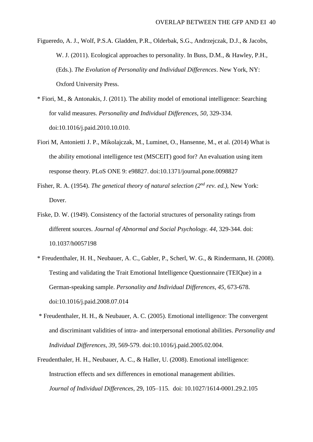- Figueredo, A. J., Wolf, P.S.A. Gladden, P.R., Olderbak, S.G., Andrzejczak, D.J., & Jacobs, W. J. (2011). Ecological approaches to personality. In Buss, D.M., & Hawley, P.H., (Eds.). *The Evolution of Personality and Individual Differences*. New York, NY: Oxford University Press.
- \* Fiori, M., & Antonakis, J. (2011). The ability model of emotional intelligence: Searching for valid measures. *Personality and Individual Differences, 50*, 329-334. doi:10.1016/j.paid.2010.10.010.
- Fiori M, Antonietti J. P., Mikolajczak, M., Luminet, O., Hansenne, M., et al. (2014) What is the ability emotional intelligence test (MSCEIT) good for? An evaluation using item response theory. PLoS ONE 9: e98827. doi:10.1371/journal.pone.0098827
- Fisher, R. A. (1954). *The genetical theory of natural selection (2nd rev. ed.),* New York: Dover.
- Fiske, D. W. (1949). Consistency of the factorial structures of personality ratings from different sources. *Journal of Abnormal and Social Psychology. 44*, 329-344. doi: 10.1037/h0057198
- \* Freudenthaler, H. H., Neubauer, A. C., Gabler, P., Scherl, W. G., & Rindermann, H. (2008). Testing and validating the Trait Emotional Intelligence Questionnaire (TEIQue) in a German-speaking sample. *Personality and Individual Differences, 45*, 673-678. doi:10.1016/j.paid.2008.07.014
- \* Freudenthaler, H. H., & Neubauer, A. C. (2005). Emotional intelligence: The convergent and discriminant validities of intra- and interpersonal emotional abilities. *Personality and Individual Differences, 39*, 569-579. doi:10.1016/j.paid.2005.02.004.
- Freudenthaler, H. H., Neubauer, A. C., & Haller, U. (2008). Emotional intelligence: Instruction effects and sex differences in emotional management abilities. *Journal of Individual Differences*, 29, 105–115. doi: 10.1027/1614-0001.29.2.105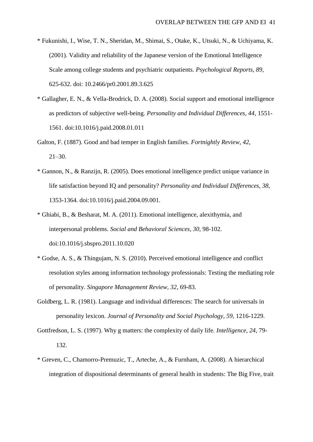- \* Fukunishi, I., Wise, T. N., Sheridan, M., Shimai, S., Otake, K., Utsuki, N., & Uchiyama, K. (2001). Validity and reliability of the Japanese version of the Emotional Intelligence Scale among college students and psychiatric outpatients. *Psychological Reports, 89*, 625-632. doi: 10.2466/pr0.2001.89.3.625
- \* Gallagher, E. N., & Vella-Brodrick, D. A. (2008). Social support and emotional intelligence as predictors of subjective well-being. *Personality and Individual Differences, 44*, 1551- 1561. doi:10.1016/j.paid.2008.01.011
- Galton, F. (1887). Good and bad temper in English families. *Fortnightly Review*, *42*, 21–30.
- \* Gannon, N., & Ranzijn, R. (2005). Does emotional intelligence predict unique variance in life satisfaction beyond IQ and personality? *Personality and Individual Differences, 38*, 1353-1364. doi:10.1016/j.paid.2004.09.001.
- \* Ghiabi, B., & Besharat, M. A. (2011). Emotional intelligence, alexithymia, and interpersonal problems. *Social and Behavioral Sciences, 30*, 98-102. doi:10.1016/j.sbspro.2011.10.020
- \* Godse, A. S., & Thingujam, N. S. (2010). Perceived emotional intelligence and conflict resolution styles among information technology professionals: Testing the mediating role of personality. *Singapore Management Review, 32*, 69-83.
- Goldberg, L. R. (1981). Language and individual differences: The search for universals in personality lexicon. *Journal of Personality and Social Psychology, 59*, 1216-1229.
- Gottfredson, L. S. (1997). Why g matters: the complexity of daily life. *Intelligence, 24*, 79- 132.
- \* Greven, C., Chamorro-Premuzic, T., Arteche, A., & Furnham, A. (2008). A hierarchical integration of dispositional determinants of general health in students: The Big Five, trait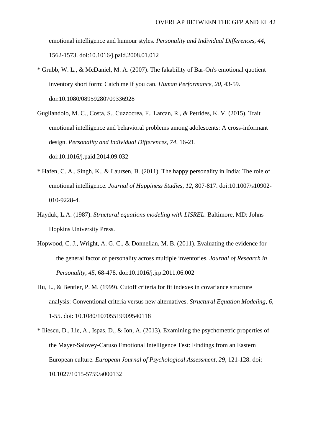emotional intelligence and humour styles. *Personality and Individual Differences, 44*, 1562-1573. doi:10.1016/j.paid.2008.01.012

- \* Grubb, W. L., & McDaniel, M. A. (2007). The fakability of Bar-On's emotional quotient inventory short form: Catch me if you can. *Human Performance, 20*, 43-59. doi:10.1080/08959280709336928
- Gugliandolo, M. C., Costa, S., Cuzzocrea, F., Larcan, R., & Petrides, K. V. (2015). Trait emotional intelligence and behavioral problems among adolescents: A cross-informant design. *Personality and Individual Differences, 74,* 16-21. doi:10.1016/j.paid.2014.09.032
- \* Hafen, C. A., Singh, K., & Laursen, B. (2011). The happy personality in India: The role of emotional intelligence. *Journal of Happiness Studies, 12*, 807-817. doi:10.1007/s10902- 010-9228-4.
- Hayduk, L.A. (1987). *Structural equations modeling with LISREL*. Baltimore, MD: Johns Hopkins University Press.
- Hopwood, C. J., Wright, A. G. C., & Donnellan, M. B. (2011). Evaluating the evidence for the general factor of personality across multiple inventories. *Journal of Research in Personality*, *45*, 68-478. doi:10.1016/j.jrp.2011.06.002
- Hu, L., & Bentler, P. M. (1999). Cutoff criteria for fit indexes in covariance structure analysis: Conventional criteria versus new alternatives. *Structural Equation Modeling, 6*, 1-55. doi: 10.1080/10705519909540118
- \* Iliescu, D., Ilie, A., Ispas, D., & Ion, A. (2013). Examining the psychometric properties of the Mayer-Salovey-Caruso Emotional Intelligence Test: Findings from an Eastern European culture. *European Journal of Psychological Assessment, 29*, 121-128. doi: 10.1027/1015-5759/a000132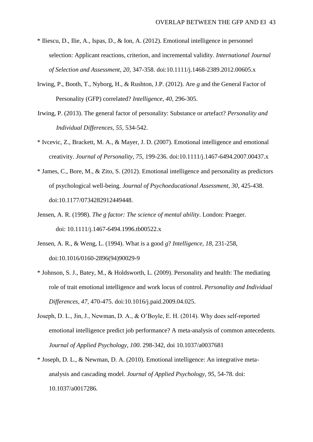- \* Iliescu, D., Ilie, A., Ispas, D., & Ion, A. (2012). Emotional intelligence in personnel selection: Applicant reactions, criterion, and incremental validity. *International Journal of Selection and Assessment, 20*, 347-358. doi:10.1111/j.1468-2389.2012.00605.x
- Irwing, P., Booth, T., Nyborg, H., & Rushton, J.P. (2012). Are *g* and the General Factor of Personality (GFP) correlated? *Intelligence, 40,* 296-305.
- Irwing, P. (2013). The general factor of personality: Substance or artefact? *Personality and Individual Differences, 55,* 534-542.
- \* Ivcevic, Z., Brackett, M. A., & Mayer, J. D. (2007). Emotional intelligence and emotional creativity. *Journal of Personality, 75*, 199-236. doi:10.1111/j.1467-6494.2007.00437.x
- \* James, C., Bore, M., & Zito, S. (2012). Emotional intelligence and personality as predictors of psychological well-being. *Journal of Psychoeducational Assessment, 30*, 425-438. doi:10.1177/0734282912449448.
- Jensen, A. R. (1998). *The g factor: The science of mental ability*. London: Praeger. doi: 10.1111/j.1467-6494.1996.tb00522.x
- Jensen, A. R., & Weng, L. (1994). What is a good *g*? *Intelligence, 18*, 231-258, doi:10.1016/0160-2896(94)90029-9
- \* Johnson, S. J., Batey, M., & Holdsworth, L. (2009). Personality and health: The mediating role of trait emotional intelligence and work locus of control. *Personality and Individual Differences, 47*, 470-475. doi:10.1016/j.paid.2009.04.025.
- Joseph, D. L., Jin, J., Newman, D. A., & O'Boyle, E. H. (2014). Why does self-reported emotional intelligence predict job performance? A meta-analysis of common antecedents. *Journal of Applied Psychology, 100.* 298-342, doi 10.1037/a0037681
- \* Joseph, D. L., & Newman, D. A. (2010). Emotional intelligence: An integrative metaanalysis and cascading model. *Journal of Applied Psychology, 95*, 54-78. doi: 10.1037/a0017286.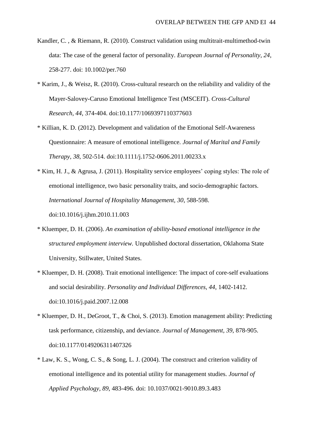- Kandler, C. , & Riemann, R. (2010). Construct validation using multitrait-multimethod-twin data: The case of the general factor of personality. *European Journal of Personality, 24*, 258-277. doi: 10.1002/per.760
- \* Karim, J., & Weisz, R. (2010). Cross-cultural research on the reliability and validity of the Mayer-Salovey-Caruso Emotional Intelligence Test (MSCEIT). *Cross-Cultural Research, 44*, 374-404. doi:10.1177/1069397110377603
- \* Killian, K. D. (2012). Development and validation of the Emotional Self-Awareness Questionnaire: A measure of emotional intelligence. *Journal of Marital and Family Therapy, 38*, 502-514. doi:10.1111/j.1752-0606.2011.00233.x
- \* Kim, H. J., & Agrusa, J. (2011). Hospitality service employees' coping styles: The role of emotional intelligence, two basic personality traits, and socio-demographic factors. *International Journal of Hospitality Management, 30*, 588-598. doi:10.1016/j.ijhm.2010.11.003
- \* Kluemper, D. H. (2006). *An examination of ability-based emotional intelligence in the structured employment interview.* Unpublished doctoral dissertation, Oklahoma State University, Stillwater, United States.
- \* Kluemper, D. H. (2008). Trait emotional intelligence: The impact of core-self evaluations and social desirability. *Personality and Individual Differences, 44*, 1402-1412. doi:10.1016/j.paid.2007.12.008
- \* Kluemper, D. H., DeGroot, T., & Choi, S. (2013). Emotion management ability: Predicting task performance, citizenship, and deviance. *Journal of Management, 39*, 878-905. doi:10.1177/0149206311407326
- \* Law, K. S., Wong, C. S., & Song, L. J. (2004). The construct and criterion validity of emotional intelligence and its potential utility for management studies. *Journal of Applied Psychology, 89*, 483-496. doi: 10.1037/0021-9010.89.3.483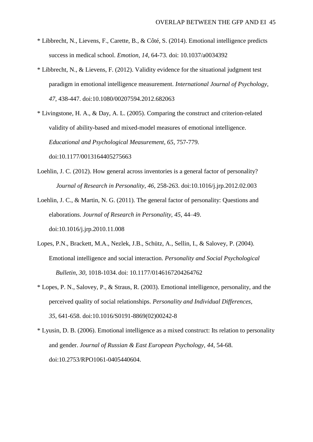- \* Libbrecht, N., Lievens, F., Carette, B., & Côté, S. (2014). Emotional intelligence predicts success in medical school. *Emotion, 14*, 64-73. doi: 10.1037/a0034392
- \* Libbrecht, N., & Lievens, F. (2012). Validity evidence for the situational judgment test paradigm in emotional intelligence measurement. *International Journal of Psychology, 47*, 438-447. doi:10.1080/00207594.2012.682063
- \* Livingstone, H. A., & Day, A. L. (2005). Comparing the construct and criterion-related validity of ability-based and mixed-model measures of emotional intelligence. *Educational and Psychological Measurement, 65*, 757-779. doi:10.1177/0013164405275663
- Loehlin, J. C. (2012). How general across inventories is a general factor of personality? *Journal of Research in Personality*, *46*, 258-263. doi:10.1016/j.jrp.2012.02.003
- Loehlin, J. C., & Martin, N. G. (2011). The general factor of personality: Questions and elaborations. *Journal of Research in Personality, 45*, 44–49. doi:10.1016/j.jrp.2010.11.008
- Lopes, P.N., Brackett, M.A., Nezlek, J.B., Schütz, A., Sellin, I., & Salovey, P. (2004). Emotional intelligence and social interaction. *Personality and Social Psychological Bulletin*, *30*, 1018-1034. doi: 10.1177/0146167204264762
- \* Lopes, P. N., Salovey, P., & Straus, R. (2003). Emotional intelligence, personality, and the perceived quality of social relationships. *Personality and Individual Differences, 35*, 641-658. doi:10.1016/S0191-8869(02)00242-8
- \* Lyusin, D. B. (2006). Emotional intelligence as a mixed construct: Its relation to personality and gender. *Journal of Russian & East European Psychology, 44*, 54-68. doi:10.2753/RPO1061-0405440604.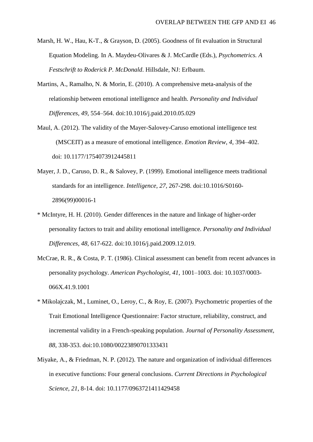- Marsh, H. W., Hau, K-T., & Grayson, D. (2005). Goodness of fit evaluation in Structural Equation Modeling. In A. Maydeu-Olivares & J. McCardle (Eds.), *Psychometrics. A Festschrift to Roderick P. McDonald*. Hillsdale, NJ: Erlbaum.
- Martins, A., Ramalho, N. & Morin, E. (2010). A comprehensive meta-analysis of the relationship between emotional intelligence and health. *Personality and Individual Differences*, *49*, 554–564. doi:10.1016/j.paid.2010.05.029
- Maul, A. (2012). The validity of the Mayer-Salovey-Caruso emotional intelligence test (MSCEIT) as a measure of emotional intelligence. *Emotion Review, 4,* 394–402. doi: 10.1177/1754073912445811
- Mayer, J. D., Caruso, D. R., & Salovey, P. (1999). Emotional intelligence meets traditional standards for an intelligence. *Intelligence*, *27,* 267-298. doi:10.1016/S0160- 2896(99)00016-1
- \* McIntyre, H. H. (2010). Gender differences in the nature and linkage of higher-order personality factors to trait and ability emotional intelligence. *Personality and Individual Differences, 48*, 617-622. doi:10.1016/j.paid.2009.12.019.
- McCrae, R. R., & Costa, P. T. (1986). Clinical assessment can benefit from recent advances in personality psychology. *American Psychologist, 41*, 1001–1003. doi: 10.1037/0003- 066X.41.9.1001
- \* Mikolajczak, M., Luminet, O., Leroy, C., & Roy, E. (2007). Psychometric properties of the Trait Emotional Intelligence Questionnaire: Factor structure, reliability, construct, and incremental validity in a French-speaking population. *Journal of Personality Assessment, 88*, 338-353. doi:10.1080/00223890701333431
- Miyake, A., & Friedman, N. P. (2012). The nature and organization of individual differences in executive functions: Four general conclusions. *Current Directions in Psychological Science, 21*, 8-14. doi: 10.1177/0963721411429458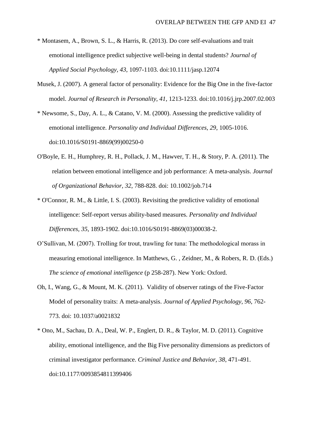- \* Montasem, A., Brown, S. L., & Harris, R. (2013). Do core self-evaluations and trait emotional intelligence predict subjective well-being in dental students? *Journal of Applied Social Psychology, 43*, 1097-1103. doi:10.1111/jasp.12074
- Musek, J. (2007). A general factor of personality: Evidence for the Big One in the five-factor model. *Journal of Research in Personality, 41*, 1213-1233. doi:10.1016/j.jrp.2007.02.003
- \* Newsome, S., Day, A. L., & Catano, V. M. (2000). Assessing the predictive validity of emotional intelligence. *Personality and Individual Differences, 29*, 1005-1016. doi:10.1016/S0191-8869(99)00250-0
- O'Boyle, E. H., Humphrey, R. H., Pollack, J. M., Hawver, T. H., & Story, P. A. (2011). The relation between emotional intelligence and job performance: A meta-analysis. *Journal of Organizational Behavior, 32*, 788-828. doi: 10.1002/job.714
- \* O'Connor, R. M., & Little, I. S. (2003). Revisiting the predictive validity of emotional intelligence: Self-report versus ability-based measures. *Personality and Individual Differences, 35*, 1893-1902. doi:10.1016/S0191-8869(03)00038-2.
- O'Sullivan, M. (2007). Trolling for trout, trawling for tuna: The methodological morass in measuring emotional intelligence. In Matthews, G. , Zeidner, M., & Robers, R. D. (Eds.) *The science of emotional intelligence* (p 258-287). New York: Oxford.
- Oh, I., Wang, G., & Mount, M. K. (2011). Validity of observer ratings of the Five-Factor Model of personality traits: A meta-analysis. *Journal of Applied Psychology, 96*, 762- 773. doi: 10.1037/a0021832
- \* Ono, M., Sachau, D. A., Deal, W. P., Englert, D. R., & Taylor, M. D. (2011). Cognitive ability, emotional intelligence, and the Big Five personality dimensions as predictors of criminal investigator performance. *Criminal Justice and Behavior, 38*, 471-491. doi:10.1177/0093854811399406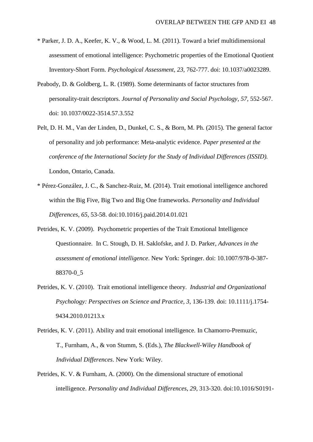- \* Parker, J. D. A., Keefer, K. V., & Wood, L. M. (2011). Toward a brief multidimensional assessment of emotional intelligence: Psychometric properties of the Emotional Quotient Inventory-Short Form. *Psychological Assessment, 23*, 762-777. doi: 10.1037/a0023289.
- Peabody, D. & Goldberg, L. R. (1989). Some determinants of factor structures from personality-trait descriptors. *Journal of Personality and Social Psychology*, *57*, 552-567. doi: 10.1037/0022-3514.57.3.552
- Pelt, D. H. M., Van der Linden, D., Dunkel, C. S., & Born, M. Ph. (2015). The general factor of personality and job performance: Meta-analytic evidence. *Paper presented at the conference of the International Society for the Study of Individual Differences (ISSID).* London, Ontario, Canada.
- \* Pérez-González, J. C., & Sanchez-Ruiz, M. (2014). Trait emotional intelligence anchored within the Big Five, Big Two and Big One frameworks. *Personality and Individual Differences, 65*, 53-58. doi:10.1016/j.paid.2014.01.021
- Petrides, K. V. (2009). Psychometric properties of the Trait Emotional Intelligence Questionnaire. In C. Stough, D. H. Saklofske, and J. D. Parker, *Advances in the assessment of emotional intelligence*. New York: Springer. doi: 10.1007/978-0-387- 88370-0\_5
- Petrides, K. V. (2010). Trait emotional intelligence theory. *Industrial and Organizational Psychology: Perspectives on Science and Practice, 3,* 136-139. doi: 10.1111/j.1754- 9434.2010.01213.x
- Petrides, K. V. (2011). Ability and trait emotional intelligence. In Chamorro-Premuzic, T., Furnham, A., & von Stumm, S. (Eds.), *The Blackwell-Wiley Handbook of Individual Differences*. New York: Wiley.
- Petrides, K. V. & Furnham, A. (2000). On the dimensional structure of emotional intelligence. *Personality and Individual Differences*, *29*, 313-320. doi:10.1016/S0191-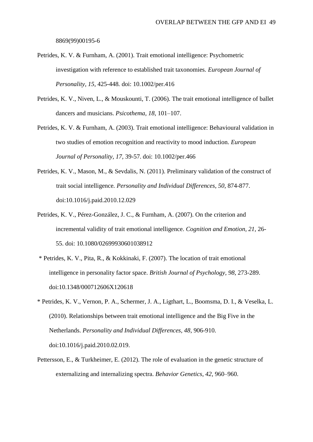8869(99)00195-6

- Petrides, K. V. & Furnham, A. (2001). Trait emotional intelligence: Psychometric investigation with reference to established trait taxonomies. *European Journal of Personality, 15,* 425-448*.* doi: 10.1002/per.416
- Petrides, K. V., Niven, L., & Mouskounti, T. (2006). The trait emotional intelligence of ballet dancers and musicians. *Psicothema, 18,* 101–107.
- Petrides, K. V. & Furnham, A. (2003). Trait emotional intelligence: Behavioural validation in two studies of emotion recognition and reactivity to mood induction. *European Journal of Personality, 17,* 39-57*.* doi: 10.1002/per.466
- Petrides, K. V., Mason, M., & Sevdalis, N. (2011). Preliminary validation of the construct of trait social intelligence*. Personality and Individual Differences*, *50*, 874-877. doi:10.1016/j.paid.2010.12.029
- Petrides, K. V., Pérez-González, J. C., & Furnham, A. (2007). On the criterion and incremental validity of trait emotional intelligence. *Cognition and Emotion, 21,* 26- 55. doi: 10.1080/02699930601038912
- \* Petrides, K. V., Pita, R., & Kokkinaki, F. (2007). The location of trait emotional intelligence in personality factor space. *British Journal of Psychology, 98*, 273-289. doi:10.1348/000712606X120618
- \* Petrides, K. V., Vernon, P. A., Schermer, J. A., Ligthart, L., Boomsma, D. I., & Veselka, L. (2010). Relationships between trait emotional intelligence and the Big Five in the Netherlands. *Personality and Individual Differences, 48*, 906-910. doi:10.1016/j.paid.2010.02.019.
- Pettersson, E., & Turkheimer, E. (2012). The role of evaluation in the genetic structure of externalizing and internalizing spectra. *Behavior Genetics*, *42*, 960–960.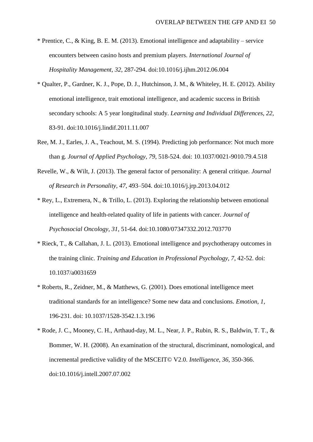- \* Prentice, C., & King, B. E. M. (2013). Emotional intelligence and adaptability service encounters between casino hosts and premium players. *International Journal of Hospitality Management, 32*, 287-294. doi:10.1016/j.ijhm.2012.06.004
- \* Qualter, P., Gardner, K. J., Pope, D. J., Hutchinson, J. M., & Whiteley, H. E. (2012). Ability emotional intelligence, trait emotional intelligence, and academic success in British secondary schools: A 5 year longitudinal study. *Learning and Individual Differences, 22*, 83-91. doi:10.1016/j.lindif.2011.11.007
- Ree, M. J., Earles, J. A., Teachout, M. S. (1994). Predicting job performance: Not much more than g. *Journal of Applied Psychology, 79*, 518-524. doi: 10.1037/0021-9010.79.4.518
- Revelle, W., & Wilt, J. (2013). The general factor of personality: A general critique. *Journal of Research in Personality, 47*, 493–504. doi:10.1016/j.jrp.2013.04.012
- \* Rey, L., Extremera, N., & Trillo, L. (2013). Exploring the relationship between emotional intelligence and health-related quality of life in patients with cancer. *Journal of Psychosocial Oncology, 31*, 51-64. doi:10.1080/07347332.2012.703770
- \* Rieck, T., & Callahan, J. L. (2013). Emotional intelligence and psychotherapy outcomes in the training clinic. *Training and Education in Professional Psychology, 7*, 42-52. doi: 10.1037/a0031659
- \* Roberts, R., Zeidner, M., & Matthews, G. (2001). Does emotional intelligence meet traditional standards for an intelligence? Some new data and conclusions. *Emotion, 1*, 196-231. doi: 10.1037/1528-3542.1.3.196
- \* Rode, J. C., Mooney, C. H., Arthaud-day, M. L., Near, J. P., Rubin, R. S., Baldwin, T. T., & Bommer, W. H. (2008). An examination of the structural, discriminant, nomological, and incremental predictive validity of the MSCEIT© V2.0. *Intelligence, 36*, 350-366. doi:10.1016/j.intell.2007.07.002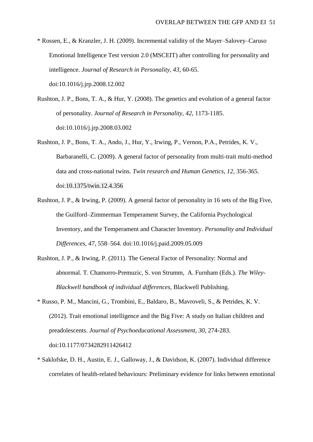- \* Rossen, E., & Kranzler, J. H. (2009). Incremental validity of the Mayer–Salovey–Caruso Emotional Intelligence Test version 2.0 (MSCEIT) after controlling for personality and intelligence. *Journal of Research in Personality, 43*, 60-65. doi:10.1016/j.jrp.2008.12.002
- Rushton, J. P., Bons, T. A., & Hur, Y. (2008). The genetics and evolution of a general factor of personality. *Journal of Research in Personality, 42*, 1173-1185. doi:10.1016/j.jrp.2008.03.002
- Rushton, J. P., Bons, T. A., Ando, J., Hur, Y., Irwing, P., Vernon, P.A., Petrides, K. V., Barbaranelli, C. (2009). A general factor of personality from multi-trait multi-method data and cross-national twins. *Twin research and Human Genetics, 12*, 356-365. doi:10.1375/twin.12.4.356
- Rushton, J. P., & Irwing, P. (2009). A general factor of personality in 16 sets of the Big Five, the Guilford–Zimmerman Temperament Survey, the California Psychological Inventory, and the Temperament and Character Inventory. *Personality and Individual Differences*, *47*, 558–564. doi:10.1016/j.paid.2009.05.009
- Rushton, J. P., & Irwing, P. (2011). The General Factor of Personality: Normal and abnormal. T. Chamorro-Premuzic, S. von Strumm, A. Furnham (Eds.). *The Wiley-Blackwell handbook of individual differences,* Blackwell Publishing.
- \* Russo, P. M., Mancini, G., Trombini, E., Baldaro, B., Mavroveli, S., & Petrides, K. V. (2012). Trait emotional intelligence and the Big Five: A study on Italian children and preadolescents. *Journal of Psychoeducational Assessment, 30*, 274-283. doi:10.1177/0734282911426412
- \* Saklofske, D. H., Austin, E. J., Galloway, J., & Davidson, K. (2007). Individual difference correlates of health-related behaviours: Preliminary evidence for links between emotional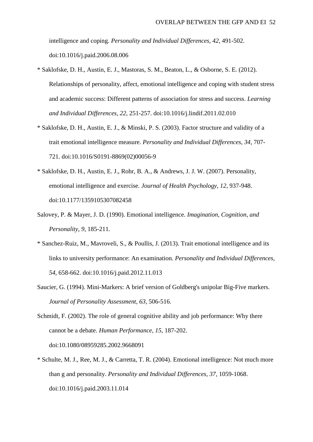intelligence and coping. *Personality and Individual Differences, 42*, 491-502. doi:10.1016/j.paid.2006.08.006

- \* Saklofske, D. H., Austin, E. J., Mastoras, S. M., Beaton, L., & Osborne, S. E. (2012). Relationships of personality, affect, emotional intelligence and coping with student stress and academic success: Different patterns of association for stress and success. *Learning and Individual Differences, 22*, 251-257. doi:10.1016/j.lindif.2011.02.010
- \* Saklofske, D. H., Austin, E. J., & Minski, P. S. (2003). Factor structure and validity of a trait emotional intelligence measure. *Personality and Individual Differences, 34*, 707- 721. doi:10.1016/S0191-8869(02)00056-9
- \* Saklofske, D. H., Austin, E. J., Rohr, B. A., & Andrews, J. J. W. (2007). Personality, emotional intelligence and exercise. *Journal of Health Psychology, 12*, 937-948. doi:10.1177/1359105307082458
- Salovey, P. & Mayer, J. D. (1990). Emotional intelligence. *Imagination, Cognition, and Personality*, *9*, 185-211.
- \* Sanchez-Ruiz, M., Mavroveli, S., & Poullis, J. (2013). Trait emotional intelligence and its links to university performance: An examination. *Personality and Individual Differences, 54*, 658-662. doi:10.1016/j.paid.2012.11.013
- Saucier, G. (1994). Mini-Markers: A brief version of Goldberg's unipolar Big-Five markers. *Journal of Personality Assessment, 63*, 506-516.
- Schmidt, F. (2002). The role of general cognitive ability and job performance: Why there cannot be a debate. *Human Performance, 15*, 187-202. doi:10.1080/08959285.2002.9668091
- \* Schulte, M. J., Ree, M. J., & Carretta, T. R. (2004). Emotional intelligence: Not much more than g and personality. *Personality and Individual Differences, 37*, 1059-1068. doi:10.1016/j.paid.2003.11.014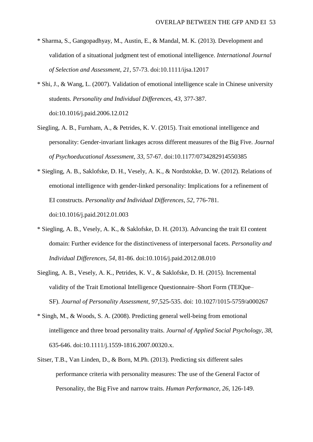- \* Sharma, S., Gangopadhyay, M., Austin, E., & Mandal, M. K. (2013). Development and validation of a situational judgment test of emotional intelligence. *International Journal of Selection and Assessment, 21*, 57-73. doi:10.1111/ijsa.12017
- \* Shi, J., & Wang, L. (2007). Validation of emotional intelligence scale in Chinese university students. *Personality and Individual Differences, 43*, 377-387. doi:10.1016/j.paid.2006.12.012
- Siegling, A. B., Furnham, A., & Petrides, K. V. (2015). Trait emotional intelligence and personality: Gender-invariant linkages across different measures of the Big Five. *Journal of Psychoeducational Assessment, 33,* 57-67. doi:10.1177/0734282914550385
- \* Siegling, A. B., Saklofske, D. H., Vesely, A. K., & Nordstokke, D. W. (2012). Relations of emotional intelligence with gender-linked personality: Implications for a refinement of EI constructs. *Personality and Individual Differences, 52*, 776-781. doi:10.1016/j.paid.2012.01.003
- \* Siegling, A. B., Vesely, A. K., & Saklofske, D. H. (2013). Advancing the trait EI content domain: Further evidence for the distinctiveness of interpersonal facets. *Personality and Individual Differences, 54*, 81-86. doi:10.1016/j.paid.2012.08.010
- Siegling, A. B., Vesely, A. K., Petrides, K. V., & Saklofske, D. H. (2015). Incremental validity of the Trait Emotional Intelligence Questionnaire–Short Form (TEIQue– SF). *Journal of Personality Assessment, 97,*525-535. doi: 10.1027/1015-5759/a000267
- \* Singh, M., & Woods, S. A. (2008). Predicting general well-being from emotional intelligence and three broad personality traits. *Journal of Applied Social Psychology, 38*, 635-646. doi:10.1111/j.1559-1816.2007.00320.x.
- Sitser, T.B., Van Linden, D., & Born, M.Ph. (2013). Predicting six different sales performance criteria with personality measures: The use of the General Factor of Personality, the Big Five and narrow traits. *Human Performance, 26*, 126-149.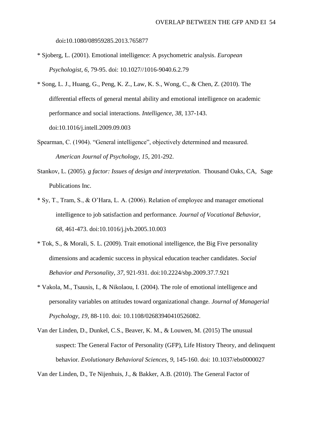doi**:**10.1080/08959285.2013.765877

- \* Sjoberg, L. (2001). Emotional intelligence: A psychometric analysis. *European Psychologist, 6*, 79-95. doi: 10.1027//1016-9040.6.2.79
- \* Song, L. J., Huang, G., Peng, K. Z., Law, K. S., Wong, C., & Chen, Z. (2010). The differential effects of general mental ability and emotional intelligence on academic performance and social interactions. *Intelligence, 38*, 137-143. doi:10.1016/j.intell.2009.09.003
- Spearman, C. (1904). "General intelligence", objectively determined and measured. *American Journal of Psychology, 15*, 201-292.
- Stankov, L. (2005). *g factor: Issues of design and interpretation*. Thousand Oaks, CA, Sage Publications Inc.
- \* Sy, T., Tram, S., & O'Hara, L. A. (2006). Relation of employee and manager emotional intelligence to job satisfaction and performance. *Journal of Vocational Behavior, 68*, 461-473. doi:10.1016/j.jvb.2005.10.003
- \* Tok, S., & Morali, S. L. (2009). Trait emotional intelligence, the Big Five personality dimensions and academic success in physical education teacher candidates. *Social Behavior and Personality, 37*, 921-931. doi:10.2224/sbp.2009.37.7.921
- \* Vakola, M., Tsausis, I., & Nikolaou, I. (2004). The role of emotional intelligence and personality variables on attitudes toward organizational change. *Journal of Managerial Psychology, 19*, 88-110. doi: 10.1108/02683940410526082.
- Van der Linden, D., Dunkel, C.S., Beaver, K. M., & Louwen, M. (2015) The unusual suspect: The General Factor of Personality (GFP), Life History Theory, and delinquent behavior. *Evolutionary Behavioral Sciences*, *9*, 145-160. doi: 10.1037/ebs0000027

Van der Linden, D., Te Nijenhuis, J., & Bakker, A.B. (2010). The General Factor of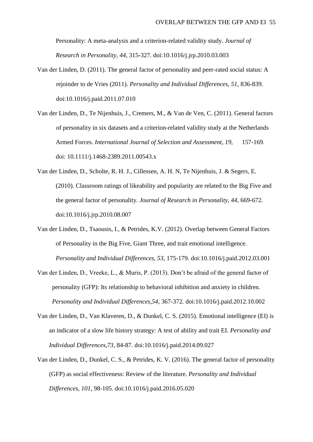Personality: A meta-analysis and a criterion-related validity study. *Journal of Research in Personality*, *44*, 315-327. doi:10.1016/j.jrp.2010.03.003

- Van der Linden, D. (2011). The general factor of personality and peer-rated social status: A rejoinder to de Vries (2011). *Personality and Individual Differences, 51*, 836-839. doi:10.1016/j.paid.2011.07.010
- Van der Linden, D., Te Nijenhuis, J., Cremers, M., & Van de Ven, C. (2011). General factors of personality in six datasets and a criterion-related validity study at the Netherlands Armed Forces. *International Journal of Selection and Assessment, 19,* 157-169. doi: 10.1111/j.1468-2389.2011.00543.x
- Van der Linden, D., Scholte, R. H. J., Cillessen, A. H. N, Te Nijenhuis, J. & Segers, E. (2010). Classroom ratings of likeability and popularity are related to the Big Five and the general factor of personality. *Journal of Research in Personality, 44*, 669-672. doi:10.1016/j.jrp.2010.08.007
- Van der Linden, D., Tsaousis, I., & Petrides, K.V. (2012). Overlap between General Factors of Personality in the Big Five, Giant Three, and trait emotional intelligence. *Personality and Individual Differences, 53*, 175-179. doi:10.1016/j.paid.2012.03.001
- Van der Linden, D., Vreeke, L., & Muris, P. (2013). Don't be afraid of the general factor of personality (GFP): Its relationship to behavioral inhibition and anxiety in children. *Personality and Individual Differences,54*, 367-372*.* doi:10.1016/j.paid.2012.10.002
- Van der Linden, D., Van Klaveren, D., & Dunkel, C. S. (2015). Emotional intelligence (EI) is an indicator of a slow life history strategy: A test of ability and trait EI. *Personality and Individual Differences,73*, 84-87. doi:10.1016/j.paid.2014.09.027
- Van der Linden, D., Dunkel, C. S., & Petrides, K. V. (2016). The general factor of personality (GFP) as social effectiveness: Review of the literature. *Personality and Individual Differences, 101*, 98-105. doi:10.1016/j.paid.2016.05.020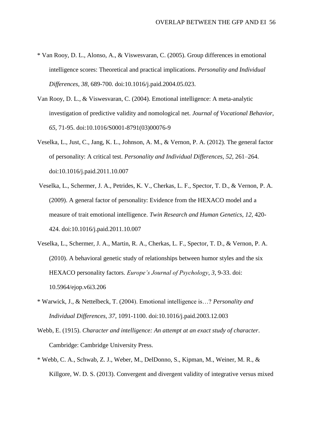- \* Van Rooy, D. L., Alonso, A., & Viswesvaran, C. (2005). Group differences in emotional intelligence scores: Theoretical and practical implications. *Personality and Individual Differences, 38*, 689-700. doi:10.1016/j.paid.2004.05.023.
- Van Rooy, D. L., & Viswesvaran, C. (2004). Emotional intelligence: A meta-analytic investigation of predictive validity and nomological net. *Journal of Vocational Behavior, 65*, 71-95. doi:10.1016/S0001-8791(03)00076-9
- Veselka, L., Just, C., Jang, K. L., Johnson, A. M., & Vernon, P. A. (2012). The general factor of personality: A critical test. *Personality and Individual Differences, 52*, 261–264. doi:10.1016/j.paid.2011.10.007
- Veselka, L., Schermer, J. A., Petrides, K. V., Cherkas, L. F., Spector, T. D., & Vernon, P. A. (2009). A general factor of personality: Evidence from the HEXACO model and a measure of trait emotional intelligence. *Twin Research and Human Genetics*, *12,* 420- 424. doi:10.1016/j.paid.2011.10.007
- Veselka, L., Schermer, J. A., Martin, R. A., Cherkas, L. F., Spector, T. D., & Vernon, P. A. (2010). A behavioral genetic study of relationships between humor styles and the six HEXACO personality factors. *Europe's Journal of Psychology*, *3*, 9-33. doi: 10.5964/ejop.v6i3.206
- \* Warwick, J., & Nettelbeck, T. (2004). Emotional intelligence is…? *Personality and Individual Differences, 37*, 1091-1100. doi:10.1016/j.paid.2003.12.003
- Webb, E. (1915). *Character and intelligence: An attempt at an exact study of character*. Cambridge: Cambridge University Press.
- \* Webb, C. A., Schwab, Z. J., Weber, M., DelDonno, S., Kipman, M., Weiner, M. R., & Killgore, W. D. S. (2013). Convergent and divergent validity of integrative versus mixed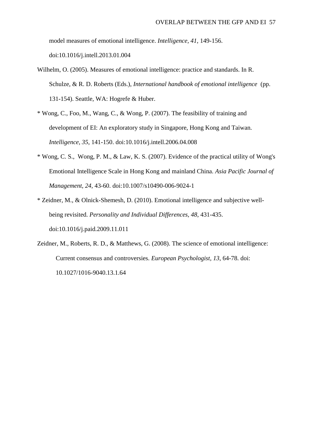model measures of emotional intelligence. *Intelligence, 41*, 149-156. doi:10.1016/j.intell.2013.01.004

- Wilhelm, O. (2005). Measures of emotional intelligence: practice and standards. In R. Schulze, & R. D. Roberts (Eds.), *International handbook of emotional intelligence* (pp. 131-154). Seattle, WA: Hogrefe & Huber.
- \* Wong, C., Foo, M., Wang, C., & Wong, P. (2007). The feasibility of training and development of EI: An exploratory study in Singapore, Hong Kong and Taiwan. *Intelligence, 35*, 141-150. doi:10.1016/j.intell.2006.04.008
- \* Wong, C. S., Wong, P. M., & Law, K. S. (2007). Evidence of the practical utility of Wong's Emotional Intelligence Scale in Hong Kong and mainland China. *Asia Pacific Journal of Management, 24*, 43-60. doi:10.1007/s10490-006-9024-1
- \* Zeidner, M., & Olnick-Shemesh, D. (2010). Emotional intelligence and subjective wellbeing revisited. *Personality and Individual Differences, 48*, 431-435. doi:10.1016/j.paid.2009.11.011
- Zeidner, M., Roberts, R. D., & Matthews, G. (2008). The science of emotional intelligence: Current consensus and controversies. *European Psychologist, 13*, 64-78. doi: 10.1027/1016-9040.13.1.64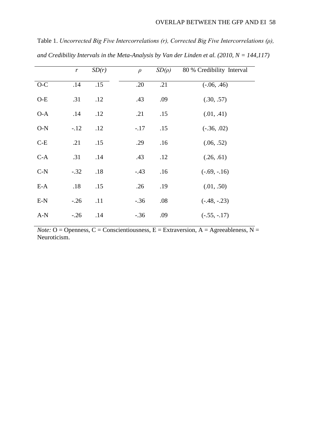Table 1. *Uncorrected Big Five Intercorrelations (r), Corrected Big Five Intercorrelations (ρ), and Credibility Intervals in the Meta-Analysis by Van der Linden et al. (2010, N = 144,117)*

|       | $\boldsymbol{r}$ | SD(r) | $\rho$ | $SD(\rho)$ | 80 % Credibility Interval |
|-------|------------------|-------|--------|------------|---------------------------|
| $O-C$ | .14              | .15   | .20    | .21        | $(-.06, .46)$             |
| $O-E$ | .31              | .12   | .43    | .09        | (.30, .57)                |
| $O-A$ | .14              | .12   | .21    | .15        | (.01, .41)                |
| $O-N$ | $-12$            | .12   | $-.17$ | .15        | $(-.36, .02)$             |
| $C-E$ | .21              | .15   | .29    | .16        | (.06, .52)                |
| $C-A$ | .31              | .14   | .43    | .12        | (.26, .61)                |
| $C-N$ | $-.32$           | .18   | $-.43$ | .16        | $(-.69, -.16)$            |
| $E-A$ | .18              | .15   | .26    | .19        | (.01, .50)                |
| $E-N$ | $-.26$           | .11   | $-.36$ | .08        | $(-.48, -.23)$            |
| $A-N$ | $-.26$           | .14   | $-.36$ | .09        | $(-.55, -.17)$            |

*Note:* O = Openness, C = Conscientiousness, E = Extraversion, A = Agreeableness, N = Neuroticism.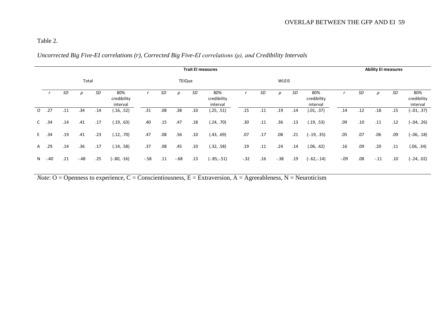# Table 2.

# *Uncorrected Big Five-EI correlations (r), Corrected Big Five-EI correlations (ρ), and Credibility Intervals*

| <b>Trait El measures</b> |     |        |     |                                |       |     |        |     | <b>Ability EI measures</b>     |        |     |        |     |                                |        |     |        |     |                                |
|--------------------------|-----|--------|-----|--------------------------------|-------|-----|--------|-----|--------------------------------|--------|-----|--------|-----|--------------------------------|--------|-----|--------|-----|--------------------------------|
|                          |     |        |     |                                |       |     |        |     |                                |        |     |        |     |                                |        |     |        |     |                                |
|                          | SD  | $\rho$ | SD  | 80%<br>credibility<br>interval |       | SD  | ρ      | SD  | 80%<br>credibility<br>interval |        | SD  | ρ      | SD  | 80%<br>credibility<br>interval |        | SD  | ρ      | SD  | 80%<br>credibility<br>interval |
| .27                      | .11 | .34    | .14 | (.16, .52)                     | .31   | .08 | .38    | .10 | (.25, .51)                     | .15    | .11 | .19    | .14 | (.01, .37)                     | .14    | .12 | .18    | .15 | (-.01, .37)                    |
| .34                      | .14 | .41    | .17 | (.19, .63)                     | .40   | .15 | .47    | .18 | (.24, .70)                     | .30    | .11 | .36    | .13 | (.19, .53)                     | .09    | .10 | .11    | .12 | (-.04, .26)                    |
| .34                      | .19 | .41    | .23 | (.12, .70)                     | .47   | .08 | .56    | .10 | (.43, .69)                     | .07    | .17 | .08    | .21 | $(-.19, .35)$                  | .05    | .07 | .06    | .09 | (-.06, .18)                    |
| .29                      | .14 | .36    | .17 | (.14, .58)                     | .37   | .08 | .45    | .10 | (.32, .58)                     | .19    | .11 | .24    | .14 | (.06, .42)                     | .16    | .09 | .20    | .11 | (.06, .34)                     |
| $-.40$                   | .21 | $-.48$ | .25 | $(-.80, -16)$                  | $-58$ | .11 | $-.68$ | .13 | $(-.85,-.51)$                  | $-.32$ | .16 | $-.38$ | .19 | $(-.62,-.14)$                  | $-.09$ | .08 | $-.11$ | .10 | (20. ,24-)                     |
|                          |     |        |     | Total                          |       |     |        |     | <b>TEIQue</b>                  |        |     |        |     | <b>WLEIS</b>                   |        |     |        |     |                                |

*Note*:  $O =$  Openness to experience,  $C =$  Conscientiousness,  $E =$  Extraversion,  $A =$  Agreeableness,  $N =$  Neuroticism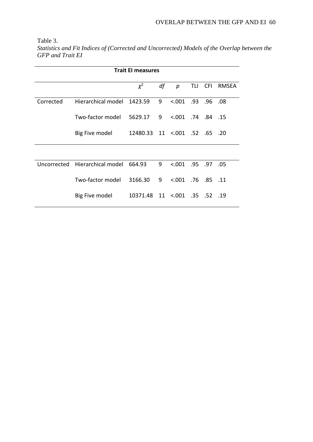Table 3.

*Statistics and Fit Indices of (Corrected and Uncorrected) Models of the Overlap between the GFP and Trait EI*

| <b>Trait El measures</b> |                                       |                               |    |                       |     |  |           |  |  |  |  |
|--------------------------|---------------------------------------|-------------------------------|----|-----------------------|-----|--|-----------|--|--|--|--|
|                          |                                       | $\chi^2$                      | df | р                     | TLI |  | CFI RMSEA |  |  |  |  |
| Corrected                | Hierarchical model                    | 1423.59                       | 9  | $0.001$ .93 .96 .08   |     |  |           |  |  |  |  |
|                          | Two-factor model                      | 5629.17                       | 9  | $< 001$ .74 .84 .15   |     |  |           |  |  |  |  |
|                          | Big Five model                        | 12480.33 11 <.001 .52 .65 .20 |    |                       |     |  |           |  |  |  |  |
|                          |                                       |                               |    |                       |     |  |           |  |  |  |  |
|                          | Uncorrected Hierarchical model 664.93 |                               | 9  | $0.001$ .95 .97 .05   |     |  |           |  |  |  |  |
|                          | Two-factor model                      | 3166.30                       | 9  | $< 0.001$ .76 .85 .11 |     |  |           |  |  |  |  |
|                          | Big Five model                        | 10371.48 11 <.001 .35 .52 .19 |    |                       |     |  |           |  |  |  |  |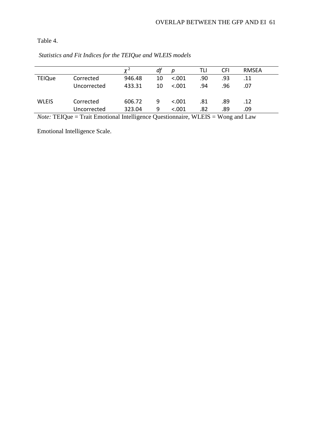Table 4.

|               |             |        | df | Ŋ       | TLI | CFI | RMSEA |  |
|---------------|-------------|--------|----|---------|-----|-----|-------|--|
| <b>TEIQue</b> | Corrected   | 946.48 | 10 | < .001  | .90 | .93 | .11   |  |
|               | Uncorrected | 433.31 | 10 | < 0.001 | .94 | .96 | .07   |  |
| <b>WLEIS</b>  | Corrected   | 606.72 | 9  | < .001  | .81 | .89 | .12   |  |
|               |             |        |    |         |     |     |       |  |
|               | Uncorrected | 323.04 | 9  | < 0.001 | .82 | .89 | .09   |  |

*Statistics and Fit Indices for the TEIQue and WLEIS models*

*Note:* TEIQue = Trait Emotional Intelligence Questionnaire, WLEIS = Wong and Law

Emotional Intelligence Scale.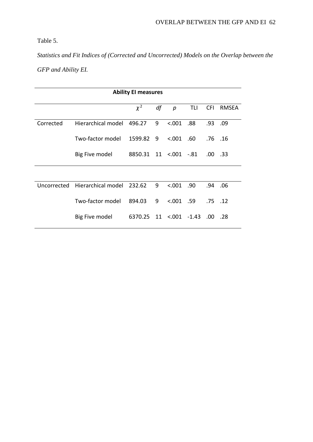Table 5.

*Statistics and Fit Indices of (Corrected and Uncorrected) Models on the Overlap between the GFP and Ability EI.*

| <b>Ability EI measures</b> |                           |                                |     |                  |     |             |       |  |  |  |
|----------------------------|---------------------------|--------------------------------|-----|------------------|-----|-------------|-------|--|--|--|
|                            |                           | $\chi^2$                       | df  | $\boldsymbol{p}$ | TLI | <b>CFI</b>  | RMSEA |  |  |  |
| Corrected                  | Hierarchical model        | 496.27                         | 9   | < .001           | .88 | .93 .09     |       |  |  |  |
|                            | Two-factor model          | 1599.82                        | - 9 | < 0.001          | .60 | .76. .16    |       |  |  |  |
|                            | Big Five model            | 8850.31 11 <.001 -.81          |     |                  |     | $.00$ .33   |       |  |  |  |
|                            |                           |                                |     |                  |     |             |       |  |  |  |
| Uncorrected                | Hierarchical model 232.62 |                                | 9   | < 0.001          | .90 | .94         | .06   |  |  |  |
|                            | Two-factor model          | 894.03                         | 9   | $0.001$ .59      |     | $.75$ $.12$ |       |  |  |  |
|                            | Big Five model            | 6370.25 11 <.001 -1.43 .00 .28 |     |                  |     |             |       |  |  |  |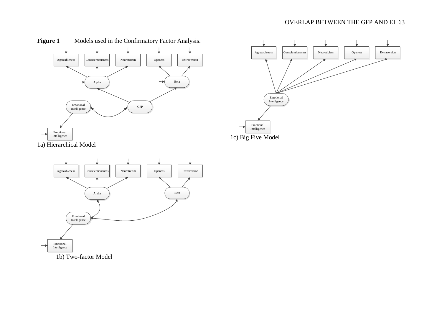## OVERLAP BETWEEN THE GFP AND EI 63







1b) Two-factor Model

Emotional Intelligence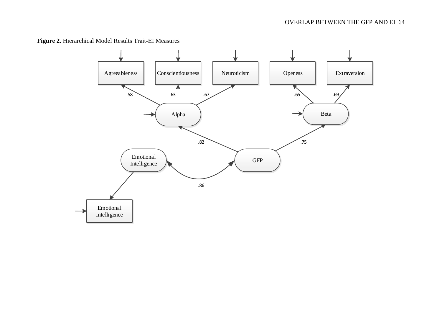**Figure 2.** Hierarchical Model Results Trait-EI Measures